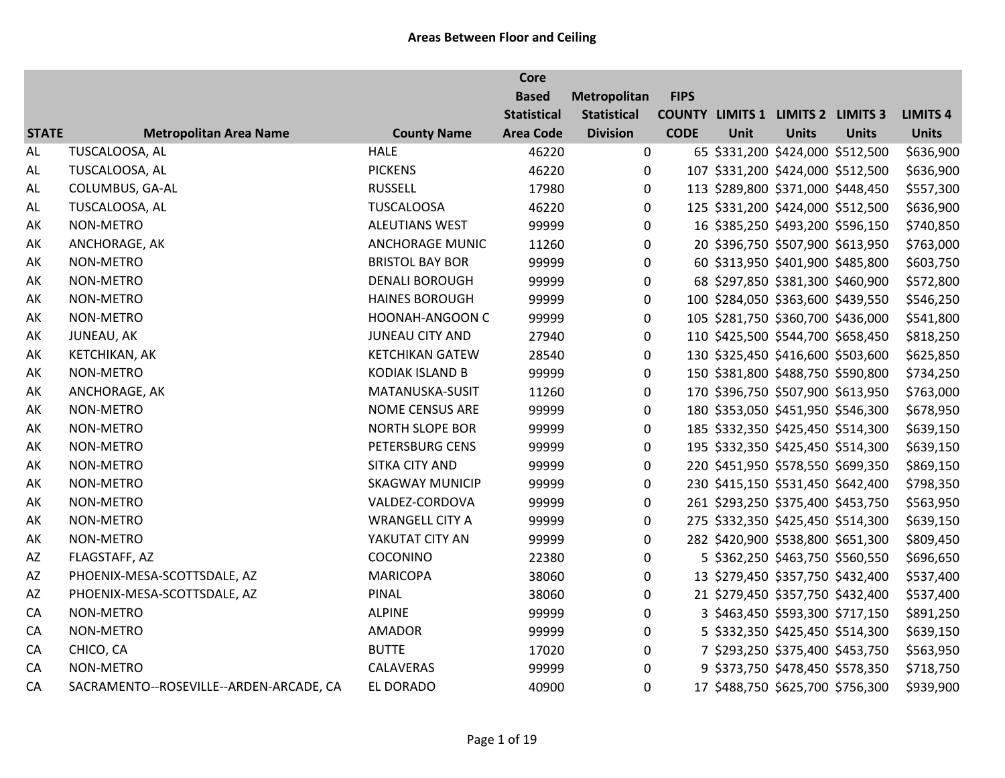|              |                                         |                        | <b>Core</b>        |                    |             |      |                                          |              |                 |
|--------------|-----------------------------------------|------------------------|--------------------|--------------------|-------------|------|------------------------------------------|--------------|-----------------|
|              |                                         |                        | <b>Based</b>       | Metropolitan       | <b>FIPS</b> |      |                                          |              |                 |
|              |                                         |                        | <b>Statistical</b> | <b>Statistical</b> |             |      | <b>COUNTY LIMITS 1 LIMITS 2 LIMITS 3</b> |              | <b>LIMITS 4</b> |
| <b>STATE</b> | <b>Metropolitan Area Name</b>           | <b>County Name</b>     | <b>Area Code</b>   | <b>Division</b>    | <b>CODE</b> | Unit | <b>Units</b>                             | <b>Units</b> | <b>Units</b>    |
| <b>AL</b>    | TUSCALOOSA, AL                          | <b>HALE</b>            | 46220              | $\boldsymbol{0}$   |             |      | 65 \$331,200 \$424,000 \$512,500         |              | \$636,900       |
| AL           | TUSCALOOSA, AL                          | <b>PICKENS</b>         | 46220              | 0                  |             |      | 107 \$331,200 \$424,000 \$512,500        |              | \$636,900       |
| AL           | COLUMBUS, GA-AL                         | <b>RUSSELL</b>         | 17980              | 0                  |             |      | 113 \$289,800 \$371,000 \$448,450        |              | \$557,300       |
| AL           | TUSCALOOSA, AL                          | <b>TUSCALOOSA</b>      | 46220              | 0                  |             |      | 125 \$331,200 \$424,000 \$512,500        |              | \$636,900       |
| AK           | NON-METRO                               | <b>ALEUTIANS WEST</b>  | 99999              | 0                  |             |      | 16 \$385,250 \$493,200 \$596,150         |              | \$740,850       |
| AK           | ANCHORAGE, AK                           | <b>ANCHORAGE MUNIC</b> | 11260              | 0                  |             |      | 20 \$396,750 \$507,900 \$613,950         |              | \$763,000       |
| AK           | NON-METRO                               | <b>BRISTOL BAY BOR</b> | 99999              | 0                  |             |      | 60 \$313,950 \$401,900 \$485,800         |              | \$603,750       |
| AK           | NON-METRO                               | <b>DENALI BOROUGH</b>  | 99999              | 0                  |             |      | 68 \$297,850 \$381,300 \$460,900         |              | \$572,800       |
| AK           | NON-METRO                               | <b>HAINES BOROUGH</b>  | 99999              | 0                  |             |      | 100 \$284,050 \$363,600 \$439,550        |              | \$546,250       |
| AK           | NON-METRO                               | HOONAH-ANGOON C        | 99999              | $\pmb{0}$          |             |      | 105 \$281,750 \$360,700 \$436,000        |              | \$541,800       |
| AK           | JUNEAU, AK                              | JUNEAU CITY AND        | 27940              | 0                  |             |      | 110 \$425,500 \$544,700 \$658,450        |              | \$818,250       |
| AK           | KETCHIKAN, AK                           | <b>KETCHIKAN GATEW</b> | 28540              | 0                  |             |      | 130 \$325,450 \$416,600 \$503,600        |              | \$625,850       |
| AK           | NON-METRO                               | <b>KODIAK ISLAND B</b> | 99999              | 0                  |             |      | 150 \$381,800 \$488,750 \$590,800        |              | \$734,250       |
| AK           | ANCHORAGE, AK                           | MATANUSKA-SUSIT        | 11260              | 0                  |             |      | 170 \$396,750 \$507,900 \$613,950        |              | \$763,000       |
| AK           | NON-METRO                               | NOME CENSUS ARE        | 99999              | 0                  |             |      | 180 \$353,050 \$451,950 \$546,300        |              | \$678,950       |
| AK           | NON-METRO                               | <b>NORTH SLOPE BOR</b> | 99999              | 0                  |             |      | 185 \$332,350 \$425,450 \$514,300        |              | \$639,150       |
| AK           | NON-METRO                               | PETERSBURG CENS        | 99999              | 0                  |             |      | 195 \$332,350 \$425,450 \$514,300        |              | \$639,150       |
| AK           | NON-METRO                               | SITKA CITY AND         | 99999              | 0                  |             |      | 220 \$451,950 \$578,550 \$699,350        |              | \$869,150       |
| AK           | NON-METRO                               | <b>SKAGWAY MUNICIP</b> | 99999              | 0                  |             |      | 230 \$415,150 \$531,450 \$642,400        |              | \$798,350       |
| AK           | NON-METRO                               | VALDEZ-CORDOVA         | 99999              | $\pmb{0}$          |             |      | 261 \$293,250 \$375,400 \$453,750        |              | \$563,950       |
| AK           | NON-METRO                               | <b>WRANGELL CITY A</b> | 99999              | 0                  |             |      | 275 \$332,350 \$425,450 \$514,300        |              | \$639,150       |
| AK           | NON-METRO                               | YAKUTAT CITY AN        | 99999              | 0                  |             |      | 282 \$420,900 \$538,800 \$651,300        |              | \$809,450       |
| AZ           | FLAGSTAFF, AZ                           | COCONINO               | 22380              | 0                  |             |      | 5 \$362,250 \$463,750 \$560,550          |              | \$696,650       |
| AZ           | PHOENIX-MESA-SCOTTSDALE, AZ             | <b>MARICOPA</b>        | 38060              | 0                  |             |      | 13 \$279,450 \$357,750 \$432,400         |              | \$537,400       |
| AZ           | PHOENIX-MESA-SCOTTSDALE, AZ             | PINAL                  | 38060              | 0                  |             |      | 21 \$279,450 \$357,750 \$432,400         |              | \$537,400       |
| CA           | NON-METRO                               | <b>ALPINE</b>          | 99999              | 0                  |             |      | 3 \$463,450 \$593,300 \$717,150          |              | \$891,250       |
| CA           | NON-METRO                               | <b>AMADOR</b>          | 99999              | 0                  |             |      | 5 \$332,350 \$425,450 \$514,300          |              | \$639,150       |
| CA           | CHICO, CA                               | <b>BUTTE</b>           | 17020              | 0                  |             |      | 7 \$293,250 \$375,400 \$453,750          |              | \$563,950       |
| CA           | NON-METRO                               | <b>CALAVERAS</b>       | 99999              | $\mathbf 0$        |             |      | 9 \$373,750 \$478,450 \$578,350          |              | \$718,750       |
| CA           | SACRAMENTO--ROSEVILLE--ARDEN-ARCADE, CA | EL DORADO              | 40900              | $\mathbf 0$        |             |      | 17 \$488,750 \$625,700 \$756,300         |              | \$939,900       |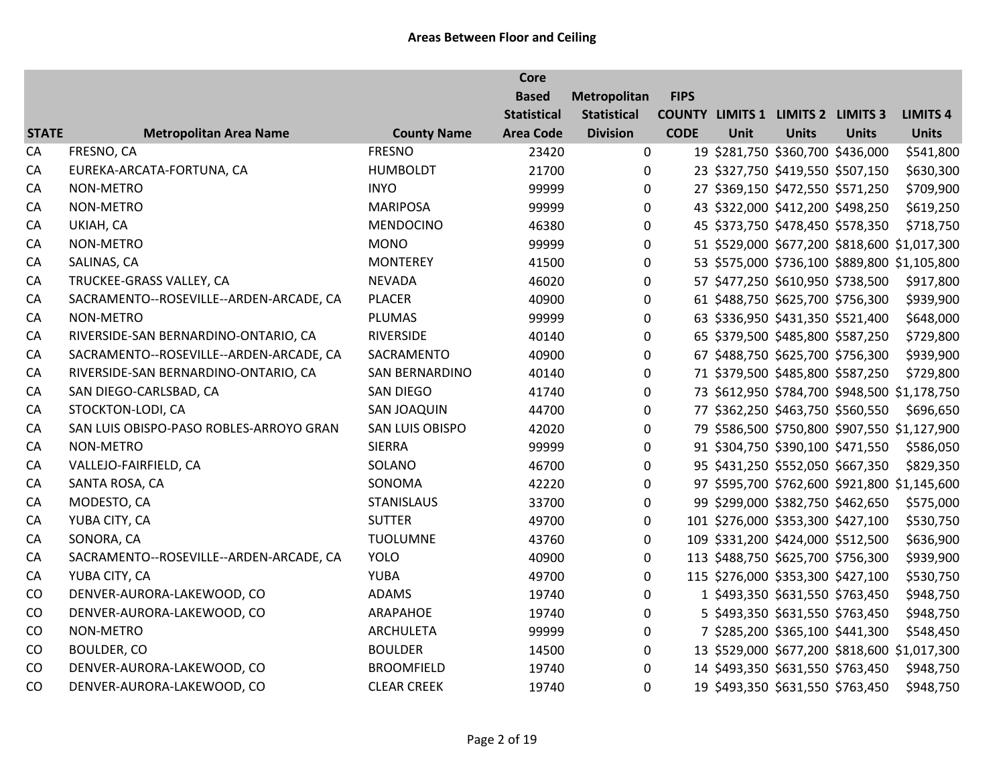|              |                                         |                       | <b>Core</b>        |                    |             |      |                                          |                                  |                                              |
|--------------|-----------------------------------------|-----------------------|--------------------|--------------------|-------------|------|------------------------------------------|----------------------------------|----------------------------------------------|
|              |                                         |                       | <b>Based</b>       | Metropolitan       | <b>FIPS</b> |      |                                          |                                  |                                              |
|              |                                         |                       | <b>Statistical</b> | <b>Statistical</b> |             |      | <b>COUNTY LIMITS 1 LIMITS 2 LIMITS 3</b> |                                  | <b>LIMITS 4</b>                              |
| <b>STATE</b> | <b>Metropolitan Area Name</b>           | <b>County Name</b>    | <b>Area Code</b>   | <b>Division</b>    | <b>CODE</b> | Unit | <b>Units</b>                             | <b>Units</b>                     | <b>Units</b>                                 |
| CA           | FRESNO, CA                              | <b>FRESNO</b>         | 23420              | 0                  |             |      | 19 \$281,750 \$360,700 \$436,000         |                                  | \$541,800                                    |
| CA           | EUREKA-ARCATA-FORTUNA, CA               | <b>HUMBOLDT</b>       | 21700              | $\mathbf{0}$       |             |      | 23 \$327,750 \$419,550 \$507,150         |                                  | \$630,300                                    |
| CA           | NON-METRO                               | <b>INYO</b>           | 99999              | $\mathbf 0$        |             |      | 27 \$369,150 \$472,550 \$571,250         |                                  | \$709,900                                    |
| CA           | NON-METRO                               | <b>MARIPOSA</b>       | 99999              | $\pmb{0}$          |             |      | 43 \$322,000 \$412,200 \$498,250         |                                  | \$619,250                                    |
| CA           | UKIAH, CA                               | <b>MENDOCINO</b>      | 46380              | $\boldsymbol{0}$   |             |      |                                          | 45 \$373,750 \$478,450 \$578,350 | \$718,750                                    |
| CA           | NON-METRO                               | <b>MONO</b>           | 99999              | $\mathbf 0$        |             |      |                                          |                                  | 51 \$529,000 \$677,200 \$818,600 \$1,017,300 |
| CA           | SALINAS, CA                             | <b>MONTEREY</b>       | 41500              | $\mathbf 0$        |             |      |                                          |                                  | 53 \$575,000 \$736,100 \$889,800 \$1,105,800 |
| CA           | TRUCKEE-GRASS VALLEY, CA                | <b>NEVADA</b>         | 46020              | $\mathbf 0$        |             |      | 57 \$477,250 \$610,950 \$738,500         |                                  | \$917,800                                    |
| CA           | SACRAMENTO--ROSEVILLE--ARDEN-ARCADE, CA | <b>PLACER</b>         | 40900              | $\mathbf 0$        |             |      | 61 \$488,750 \$625,700 \$756,300         |                                  | \$939,900                                    |
| CA           | NON-METRO                               | <b>PLUMAS</b>         | 99999              | $\boldsymbol{0}$   |             |      |                                          | 63 \$336,950 \$431,350 \$521,400 | \$648,000                                    |
| CA           | RIVERSIDE-SAN BERNARDINO-ONTARIO, CA    | <b>RIVERSIDE</b>      | 40140              | $\mathbf 0$        |             |      |                                          | 65 \$379,500 \$485,800 \$587,250 | \$729,800                                    |
| CA           | SACRAMENTO--ROSEVILLE--ARDEN-ARCADE, CA | SACRAMENTO            | 40900              | $\mathbf 0$        |             |      | 67 \$488,750 \$625,700 \$756,300         |                                  | \$939,900                                    |
| CA           | RIVERSIDE-SAN BERNARDINO-ONTARIO, CA    | <b>SAN BERNARDINO</b> | 40140              | $\mathbf 0$        |             |      | 71 \$379,500 \$485,800 \$587,250         |                                  | \$729,800                                    |
| CA           | SAN DIEGO-CARLSBAD, CA                  | <b>SAN DIEGO</b>      | 41740              | $\boldsymbol{0}$   |             |      |                                          |                                  | 73 \$612,950 \$784,700 \$948,500 \$1,178,750 |
| CA           | STOCKTON-LODI, CA                       | SAN JOAQUIN           | 44700              | 0                  |             |      |                                          | 77 \$362,250 \$463,750 \$560,550 | \$696,650                                    |
| CA           | SAN LUIS OBISPO-PASO ROBLES-ARROYO GRAN | SAN LUIS OBISPO       | 42020              | 0                  |             |      |                                          |                                  | 79 \$586,500 \$750,800 \$907,550 \$1,127,900 |
| CA           | NON-METRO                               | <b>SIERRA</b>         | 99999              | 0                  |             |      | 91 \$304,750 \$390,100 \$471,550         |                                  | \$586,050                                    |
| CA           | VALLEJO-FAIRFIELD, CA                   | SOLANO                | 46700              | $\mathbf 0$        |             |      | 95 \$431,250 \$552,050 \$667,350         |                                  | \$829,350                                    |
| CA           | SANTA ROSA, CA                          | SONOMA                | 42220              | 0                  |             |      |                                          |                                  | 97 \$595,700 \$762,600 \$921,800 \$1,145,600 |
| CA           | MODESTO, CA                             | <b>STANISLAUS</b>     | 33700              | 0                  |             |      |                                          | 99 \$299,000 \$382,750 \$462,650 | \$575,000                                    |
| CA           | YUBA CITY, CA                           | <b>SUTTER</b>         | 49700              | $\mathbf 0$        |             |      | 101 \$276,000 \$353,300 \$427,100        |                                  | \$530,750                                    |
| CA           | SONORA, CA                              | <b>TUOLUMNE</b>       | 43760              | $\mathbf 0$        |             |      | 109 \$331,200 \$424,000 \$512,500        |                                  | \$636,900                                    |
| CA           | SACRAMENTO--ROSEVILLE--ARDEN-ARCADE, CA | <b>YOLO</b>           | 40900              | $\mathbf 0$        |             |      | 113 \$488,750 \$625,700 \$756,300        |                                  | \$939,900                                    |
| CA           | YUBA CITY, CA                           | <b>YUBA</b>           | 49700              | $\mathbf 0$        |             |      | 115 \$276,000 \$353,300 \$427,100        |                                  | \$530,750                                    |
| CO           | DENVER-AURORA-LAKEWOOD, CO              | ADAMS                 | 19740              | 0                  |             |      | 1 \$493,350 \$631,550 \$763,450          |                                  | \$948,750                                    |
| CO           | DENVER-AURORA-LAKEWOOD, CO              | <b>ARAPAHOE</b>       | 19740              | 0                  |             |      | 5 \$493,350 \$631,550 \$763,450          |                                  | \$948,750                                    |
| CO           | NON-METRO                               | <b>ARCHULETA</b>      | 99999              | 0                  |             |      | 7 \$285,200 \$365,100 \$441,300          |                                  | \$548,450                                    |
| CO           | <b>BOULDER, CO</b>                      | <b>BOULDER</b>        | 14500              | 0                  |             |      |                                          |                                  | 13 \$529,000 \$677,200 \$818,600 \$1,017,300 |
| CO           | DENVER-AURORA-LAKEWOOD, CO              | <b>BROOMFIELD</b>     | 19740              | $\mathbf 0$        |             |      |                                          | 14 \$493,350 \$631,550 \$763,450 | \$948,750                                    |
| CO           | DENVER-AURORA-LAKEWOOD, CO              | <b>CLEAR CREEK</b>    | 19740              | $\mathbf 0$        |             |      | 19 \$493,350 \$631,550 \$763,450         |                                  | \$948,750                                    |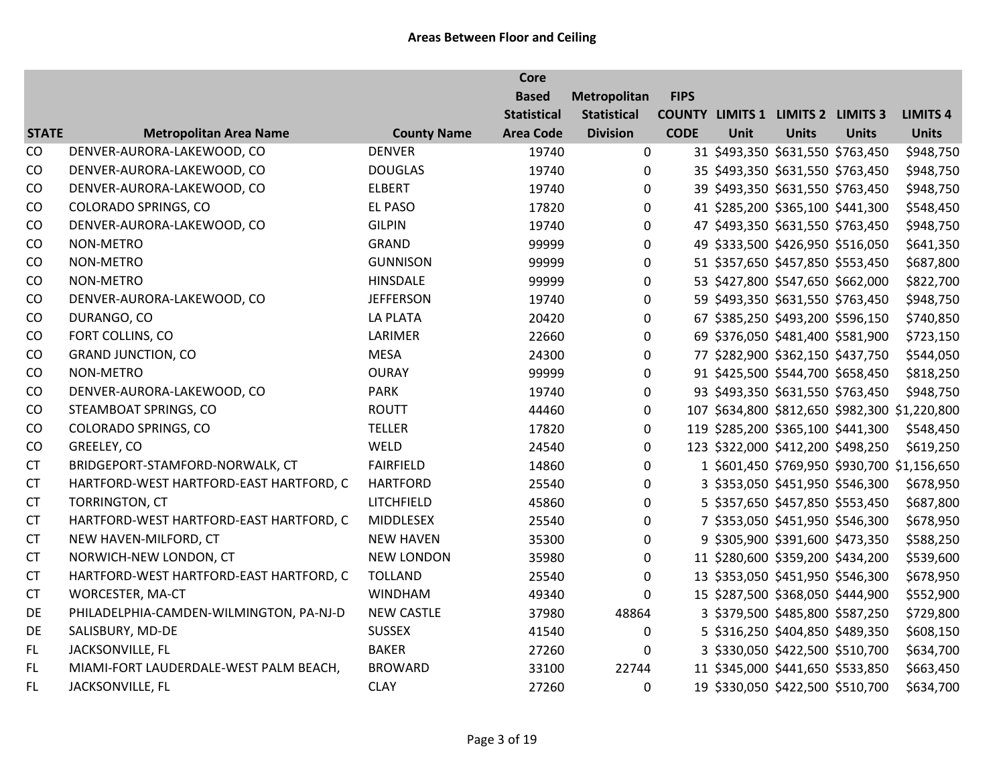|              |                                         |                    | <b>Core</b>        |                    |             |      |                                          |                                 |                                               |
|--------------|-----------------------------------------|--------------------|--------------------|--------------------|-------------|------|------------------------------------------|---------------------------------|-----------------------------------------------|
|              |                                         |                    | <b>Based</b>       | Metropolitan       | <b>FIPS</b> |      |                                          |                                 |                                               |
|              |                                         |                    | <b>Statistical</b> | <b>Statistical</b> |             |      | <b>COUNTY LIMITS 1 LIMITS 2 LIMITS 3</b> |                                 | <b>LIMITS 4</b>                               |
| <b>STATE</b> | <b>Metropolitan Area Name</b>           | <b>County Name</b> | <b>Area Code</b>   | <b>Division</b>    | <b>CODE</b> | Unit | <b>Units</b>                             | <b>Units</b>                    | <b>Units</b>                                  |
| CO           | DENVER-AURORA-LAKEWOOD, CO              | <b>DENVER</b>      | 19740              | 0                  |             |      | 31 \$493,350 \$631,550 \$763,450         |                                 | \$948,750                                     |
| CO           | DENVER-AURORA-LAKEWOOD, CO              | <b>DOUGLAS</b>     | 19740              | 0                  |             |      | 35 \$493,350 \$631,550 \$763,450         |                                 | \$948,750                                     |
| CO           | DENVER-AURORA-LAKEWOOD, CO              | <b>ELBERT</b>      | 19740              | 0                  |             |      | 39 \$493,350 \$631,550 \$763,450         |                                 | \$948,750                                     |
| CO           | <b>COLORADO SPRINGS, CO</b>             | <b>EL PASO</b>     | 17820              | 0                  |             |      | 41 \$285,200 \$365,100 \$441,300         |                                 | \$548,450                                     |
| CO           | DENVER-AURORA-LAKEWOOD, CO              | <b>GILPIN</b>      | 19740              | $\mathbf 0$        |             |      | 47 \$493,350 \$631,550 \$763,450         |                                 | \$948,750                                     |
| CO           | NON-METRO                               | GRAND              | 99999              | $\mathbf 0$        |             |      | 49 \$333,500 \$426,950 \$516,050         |                                 | \$641,350                                     |
| CO           | NON-METRO                               | <b>GUNNISON</b>    | 99999              | $\Omega$           |             |      | 51 \$357,650 \$457,850 \$553,450         |                                 | \$687,800                                     |
| CO           | NON-METRO                               | <b>HINSDALE</b>    | 99999              | $\mathbf 0$        |             |      | 53 \$427,800 \$547,650 \$662,000         |                                 | \$822,700                                     |
| CO           | DENVER-AURORA-LAKEWOOD, CO              | <b>JEFFERSON</b>   | 19740              | 0                  |             |      | 59 \$493,350 \$631,550 \$763,450         |                                 | \$948,750                                     |
| CO           | DURANGO, CO                             | <b>LA PLATA</b>    | 20420              | $\pmb{0}$          |             |      | 67 \$385,250 \$493,200 \$596,150         |                                 | \$740,850                                     |
| CO           | FORT COLLINS, CO                        | LARIMER            | 22660              | 0                  |             |      | 69 \$376,050 \$481,400 \$581,900         |                                 | \$723,150                                     |
| CO           | <b>GRAND JUNCTION, CO</b>               | <b>MESA</b>        | 24300              | 0                  |             |      | 77 \$282,900 \$362,150 \$437,750         |                                 | \$544,050                                     |
| CO           | <b>NON-METRO</b>                        | <b>OURAY</b>       | 99999              | 0                  |             |      | 91 \$425,500 \$544,700 \$658,450         |                                 | \$818,250                                     |
| CO           | DENVER-AURORA-LAKEWOOD, CO              | <b>PARK</b>        | 19740              | 0                  |             |      | 93 \$493,350 \$631,550 \$763,450         |                                 | \$948,750                                     |
| CO           | STEAMBOAT SPRINGS, CO                   | <b>ROUTT</b>       | 44460              | 0                  |             |      |                                          |                                 | 107 \$634,800 \$812,650 \$982,300 \$1,220,800 |
| CO           | <b>COLORADO SPRINGS, CO</b>             | <b>TELLER</b>      | 17820              | 0                  |             |      | 119 \$285,200 \$365,100 \$441,300        |                                 | \$548,450                                     |
| CO           | GREELEY, CO                             | WELD               | 24540              | $\mathbf{0}$       |             |      | 123 \$322,000 \$412,200 \$498,250        |                                 | \$619,250                                     |
| <b>CT</b>    | BRIDGEPORT-STAMFORD-NORWALK, CT         | <b>FAIRFIELD</b>   | 14860              | $\mathbf 0$        |             |      |                                          |                                 | 1 \$601,450 \$769,950 \$930,700 \$1,156,650   |
| <b>CT</b>    | HARTFORD-WEST HARTFORD-EAST HARTFORD, C | <b>HARTFORD</b>    | 25540              | $\Omega$           |             |      |                                          | 3 \$353,050 \$451,950 \$546,300 | \$678,950                                     |
| <b>CT</b>    | TORRINGTON, CT                          | LITCHFIELD         | 45860              | 0                  |             |      | 5 \$357,650 \$457,850 \$553,450          |                                 | \$687,800                                     |
| <b>CT</b>    | HARTFORD-WEST HARTFORD-EAST HARTFORD, C | MIDDLESEX          | 25540              | 0                  |             |      | 7 \$353,050 \$451,950 \$546,300          |                                 | \$678,950                                     |
| <b>CT</b>    | NEW HAVEN-MILFORD, CT                   | <b>NEW HAVEN</b>   | 35300              | 0                  |             |      | 9 \$305,900 \$391,600 \$473,350          |                                 | \$588,250                                     |
| <b>CT</b>    | NORWICH-NEW LONDON, CT                  | <b>NEW LONDON</b>  | 35980              | $\mathbf 0$        |             |      | 11 \$280,600 \$359,200 \$434,200         |                                 | \$539,600                                     |
| <b>CT</b>    | HARTFORD-WEST HARTFORD-EAST HARTFORD, C | <b>TOLLAND</b>     | 25540              | $\mathbf 0$        |             |      | 13 \$353,050 \$451,950 \$546,300         |                                 | \$678,950                                     |
| <b>CT</b>    | WORCESTER, MA-CT                        | <b>WINDHAM</b>     | 49340              | $\mathbf{0}$       |             |      | 15 \$287,500 \$368,050 \$444,900         |                                 | \$552,900                                     |
| DE           | PHILADELPHIA-CAMDEN-WILMINGTON, PA-NJ-D | <b>NEW CASTLE</b>  | 37980              | 48864              |             |      | 3 \$379,500 \$485,800 \$587,250          |                                 | \$729,800                                     |
| DE           | SALISBURY, MD-DE                        | <b>SUSSEX</b>      | 41540              | 0                  |             |      | 5 \$316,250 \$404,850 \$489,350          |                                 | \$608,150                                     |
| FL.          | JACKSONVILLE, FL                        | <b>BAKER</b>       | 27260              | $\Omega$           |             |      | 3 \$330,050 \$422,500 \$510,700          |                                 | \$634,700                                     |
| FL.          | MIAMI-FORT LAUDERDALE-WEST PALM BEACH,  | <b>BROWARD</b>     | 33100              | 22744              |             |      | 11 \$345,000 \$441,650 \$533,850         |                                 | \$663,450                                     |
| FL.          | JACKSONVILLE, FL                        | <b>CLAY</b>        | 27260              | 0                  |             |      | 19 \$330,050 \$422,500 \$510,700         |                                 | \$634,700                                     |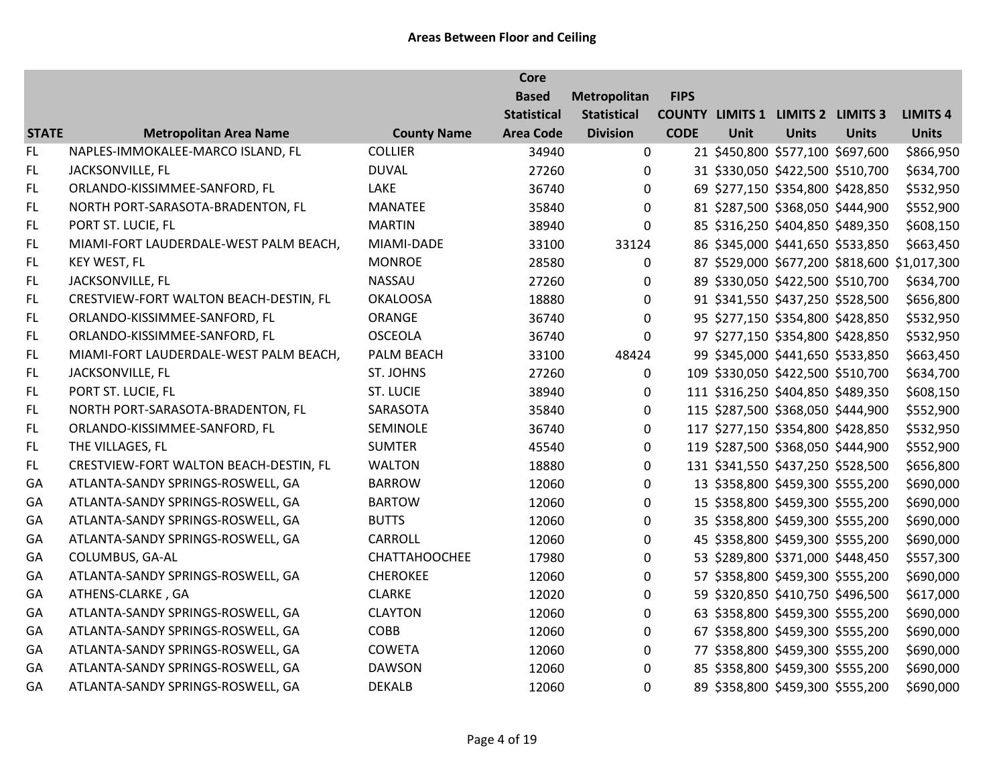|              |                                        |                    | <b>Core</b>        |                    |             |      |                                          |              |                                              |
|--------------|----------------------------------------|--------------------|--------------------|--------------------|-------------|------|------------------------------------------|--------------|----------------------------------------------|
|              |                                        |                    | <b>Based</b>       | Metropolitan       | <b>FIPS</b> |      |                                          |              |                                              |
|              |                                        |                    | <b>Statistical</b> | <b>Statistical</b> |             |      | <b>COUNTY LIMITS 1 LIMITS 2 LIMITS 3</b> |              | <b>LIMITS 4</b>                              |
| <b>STATE</b> | <b>Metropolitan Area Name</b>          | <b>County Name</b> | <b>Area Code</b>   | <b>Division</b>    | <b>CODE</b> | Unit | <b>Units</b>                             | <b>Units</b> | <b>Units</b>                                 |
| FL.          | NAPLES-IMMOKALEE-MARCO ISLAND, FL      | <b>COLLIER</b>     | 34940              | 0                  |             |      | 21 \$450,800 \$577,100 \$697,600         |              | \$866,950                                    |
| FL.          | JACKSONVILLE, FL                       | <b>DUVAL</b>       | 27260              | $\mathbf{0}$       |             |      | 31 \$330,050 \$422,500 \$510,700         |              | \$634,700                                    |
| FL.          | ORLANDO-KISSIMMEE-SANFORD, FL          | LAKE               | 36740              | 0                  |             |      | 69 \$277,150 \$354,800 \$428,850         |              | \$532,950                                    |
| FL.          | NORTH PORT-SARASOTA-BRADENTON, FL      | MANATEE            | 35840              | $\mathbf{0}$       |             |      | 81 \$287,500 \$368,050 \$444,900         |              | \$552,900                                    |
| FL.          | PORT ST. LUCIE, FL                     | <b>MARTIN</b>      | 38940              | $\mathbf 0$        |             |      | 85 \$316,250 \$404,850 \$489,350         |              | \$608,150                                    |
| FL.          | MIAMI-FORT LAUDERDALE-WEST PALM BEACH, | MIAMI-DADE         | 33100              | 33124              |             |      | 86 \$345,000 \$441,650 \$533,850         |              | \$663,450                                    |
| FL.          | KEY WEST, FL                           | <b>MONROE</b>      | 28580              | 0                  |             |      |                                          |              | 87 \$529,000 \$677,200 \$818,600 \$1,017,300 |
| FL.          | JACKSONVILLE, FL                       | <b>NASSAU</b>      | 27260              | 0                  |             |      | 89 \$330,050 \$422,500 \$510,700         |              | \$634,700                                    |
| FL.          | CRESTVIEW-FORT WALTON BEACH-DESTIN, FL | <b>OKALOOSA</b>    | 18880              | $\mathbf 0$        |             |      | 91 \$341,550 \$437,250 \$528,500         |              | \$656,800                                    |
| FL.          | ORLANDO-KISSIMMEE-SANFORD, FL          | ORANGE             | 36740              | $\boldsymbol{0}$   |             |      | 95 \$277,150 \$354,800 \$428,850         |              | \$532,950                                    |
| FL.          | ORLANDO-KISSIMMEE-SANFORD, FL          | <b>OSCEOLA</b>     | 36740              | 0                  |             |      | 97 \$277,150 \$354,800 \$428,850         |              | \$532,950                                    |
| FL.          | MIAMI-FORT LAUDERDALE-WEST PALM BEACH, | PALM BEACH         | 33100              | 48424              |             |      | 99 \$345,000 \$441,650 \$533,850         |              | \$663,450                                    |
| FL.          | JACKSONVILLE, FL                       | ST. JOHNS          | 27260              | $\mathbf 0$        |             |      | 109 \$330,050 \$422,500 \$510,700        |              | \$634,700                                    |
| FL.          | PORT ST. LUCIE, FL                     | <b>ST. LUCIE</b>   | 38940              | 0                  |             |      | 111 \$316,250 \$404,850 \$489,350        |              | \$608,150                                    |
| FL.          | NORTH PORT-SARASOTA-BRADENTON, FL      | SARASOTA           | 35840              | $\mathbf 0$        |             |      | 115 \$287,500 \$368,050 \$444,900        |              | \$552,900                                    |
| FL.          | ORLANDO-KISSIMMEE-SANFORD, FL          | SEMINOLE           | 36740              | $\pmb{0}$          |             |      | 117 \$277,150 \$354,800 \$428,850        |              | \$532,950                                    |
| FL           | THE VILLAGES, FL                       | <b>SUMTER</b>      | 45540              | 0                  |             |      | 119 \$287,500 \$368,050 \$444,900        |              | \$552,900                                    |
| FL.          | CRESTVIEW-FORT WALTON BEACH-DESTIN, FL | <b>WALTON</b>      | 18880              | $\mathbf 0$        |             |      | 131 \$341,550 \$437,250 \$528,500        |              | \$656,800                                    |
| GA           | ATLANTA-SANDY SPRINGS-ROSWELL, GA      | <b>BARROW</b>      | 12060              | $\mathbf 0$        |             |      | 13 \$358,800 \$459,300 \$555,200         |              | \$690,000                                    |
| GA           | ATLANTA-SANDY SPRINGS-ROSWELL, GA      | <b>BARTOW</b>      | 12060              | $\mathbf 0$        |             |      | 15 \$358,800 \$459,300 \$555,200         |              | \$690,000                                    |
| GA           | ATLANTA-SANDY SPRINGS-ROSWELL, GA      | <b>BUTTS</b>       | 12060              | 0                  |             |      | 35 \$358,800 \$459,300 \$555,200         |              | \$690,000                                    |
| GA           | ATLANTA-SANDY SPRINGS-ROSWELL, GA      | <b>CARROLL</b>     | 12060              | $\mathbf 0$        |             |      | 45 \$358,800 \$459,300 \$555,200         |              | \$690,000                                    |
| GA           | COLUMBUS, GA-AL                        | CHATTAHOOCHEE      | 17980              | $\boldsymbol{0}$   |             |      | 53 \$289,800 \$371,000 \$448,450         |              | \$557,300                                    |
| GA           | ATLANTA-SANDY SPRINGS-ROSWELL, GA      | <b>CHEROKEE</b>    | 12060              | 0                  |             |      | 57 \$358,800 \$459,300 \$555,200         |              | \$690,000                                    |
| GA           | ATHENS-CLARKE, GA                      | <b>CLARKE</b>      | 12020              | $\boldsymbol{0}$   |             |      | 59 \$320,850 \$410,750 \$496,500         |              | \$617,000                                    |
| GA           | ATLANTA-SANDY SPRINGS-ROSWELL, GA      | <b>CLAYTON</b>     | 12060              | 0                  |             |      | 63 \$358,800 \$459,300 \$555,200         |              | \$690,000                                    |
| GA           | ATLANTA-SANDY SPRINGS-ROSWELL, GA      | COBB               | 12060              | $\mathbf 0$        |             |      | 67 \$358,800 \$459,300 \$555,200         |              | \$690,000                                    |
| GA           | ATLANTA-SANDY SPRINGS-ROSWELL, GA      | <b>COWETA</b>      | 12060              | $\mathbf{0}$       |             |      | 77 \$358,800 \$459,300 \$555,200         |              | \$690,000                                    |
| GA           | ATLANTA-SANDY SPRINGS-ROSWELL, GA      | <b>DAWSON</b>      | 12060              | $\mathbf 0$        |             |      | 85 \$358,800 \$459,300 \$555,200         |              | \$690,000                                    |
| GA           | ATLANTA-SANDY SPRINGS-ROSWELL, GA      | <b>DEKALB</b>      | 12060              | $\Omega$           |             |      | 89 \$358,800 \$459,300 \$555,200         |              | \$690,000                                    |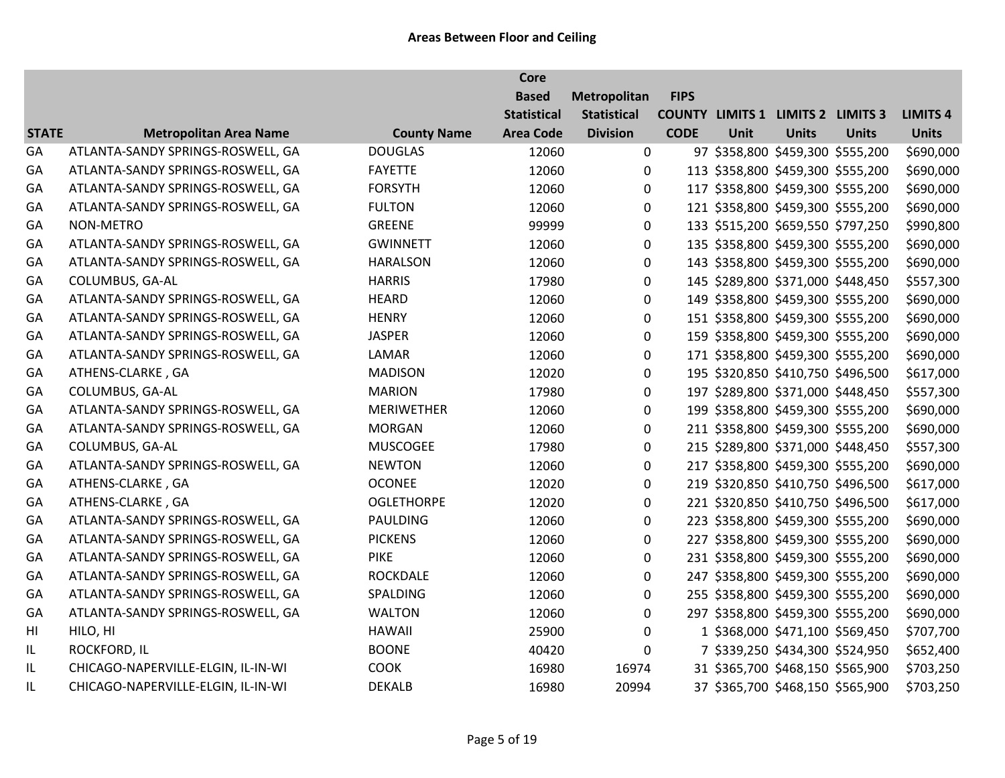|              |                                    |                    | <b>Core</b>        |                    |             |      |                                          |              |                 |
|--------------|------------------------------------|--------------------|--------------------|--------------------|-------------|------|------------------------------------------|--------------|-----------------|
|              |                                    |                    | <b>Based</b>       | Metropolitan       | <b>FIPS</b> |      |                                          |              |                 |
|              |                                    |                    | <b>Statistical</b> | <b>Statistical</b> |             |      | <b>COUNTY LIMITS 1 LIMITS 2 LIMITS 3</b> |              | <b>LIMITS 4</b> |
| <b>STATE</b> | <b>Metropolitan Area Name</b>      | <b>County Name</b> | <b>Area Code</b>   | <b>Division</b>    | <b>CODE</b> | Unit | <b>Units</b>                             | <b>Units</b> | <b>Units</b>    |
| GA           | ATLANTA-SANDY SPRINGS-ROSWELL, GA  | <b>DOUGLAS</b>     | 12060              | $\mathbf 0$        |             |      | 97 \$358,800 \$459,300 \$555,200         |              | \$690,000       |
| GA           | ATLANTA-SANDY SPRINGS-ROSWELL, GA  | <b>FAYETTE</b>     | 12060              | $\Omega$           |             |      | 113 \$358,800 \$459,300 \$555,200        |              | \$690,000       |
| GA           | ATLANTA-SANDY SPRINGS-ROSWELL, GA  | <b>FORSYTH</b>     | 12060              | $\pmb{0}$          |             |      | 117 \$358,800 \$459,300 \$555,200        |              | \$690,000       |
| GA           | ATLANTA-SANDY SPRINGS-ROSWELL, GA  | <b>FULTON</b>      | 12060              | 0                  |             |      | 121 \$358,800 \$459,300 \$555,200        |              | \$690,000       |
| GA           | <b>NON-METRO</b>                   | <b>GREENE</b>      | 99999              | $\pmb{0}$          |             |      | 133 \$515,200 \$659,550 \$797,250        |              | \$990,800       |
| GA           | ATLANTA-SANDY SPRINGS-ROSWELL, GA  | <b>GWINNETT</b>    | 12060              | $\pmb{0}$          |             |      | 135 \$358,800 \$459,300 \$555,200        |              | \$690,000       |
| GA           | ATLANTA-SANDY SPRINGS-ROSWELL, GA  | <b>HARALSON</b>    | 12060              | 0                  |             |      | 143 \$358,800 \$459,300 \$555,200        |              | \$690,000       |
| GA           | COLUMBUS, GA-AL                    | <b>HARRIS</b>      | 17980              | $\pmb{0}$          |             |      | 145 \$289,800 \$371,000 \$448,450        |              | \$557,300       |
| GA           | ATLANTA-SANDY SPRINGS-ROSWELL, GA  | <b>HEARD</b>       | 12060              | 0                  |             |      | 149 \$358,800 \$459,300 \$555,200        |              | \$690,000       |
| GA           | ATLANTA-SANDY SPRINGS-ROSWELL, GA  | <b>HENRY</b>       | 12060              | 0                  |             |      | 151 \$358,800 \$459,300 \$555,200        |              | \$690,000       |
| GA           | ATLANTA-SANDY SPRINGS-ROSWELL, GA  | <b>JASPER</b>      | 12060              | 0                  |             |      | 159 \$358,800 \$459,300 \$555,200        |              | \$690,000       |
| GA           | ATLANTA-SANDY SPRINGS-ROSWELL, GA  | LAMAR              | 12060              | 0                  |             |      | 171 \$358,800 \$459,300 \$555,200        |              | \$690,000       |
| GA           | ATHENS-CLARKE, GA                  | <b>MADISON</b>     | 12020              | $\pmb{0}$          |             |      | 195 \$320,850 \$410,750 \$496,500        |              | \$617,000       |
| GA           | COLUMBUS, GA-AL                    | <b>MARION</b>      | 17980              | 0                  |             |      | 197 \$289,800 \$371,000 \$448,450        |              | \$557,300       |
| GA           | ATLANTA-SANDY SPRINGS-ROSWELL, GA  | <b>MERIWETHER</b>  | 12060              | $\pmb{0}$          |             |      | 199 \$358,800 \$459,300 \$555,200        |              | \$690,000       |
| GA           | ATLANTA-SANDY SPRINGS-ROSWELL, GA  | <b>MORGAN</b>      | 12060              | 0                  |             |      | 211 \$358,800 \$459,300 \$555,200        |              | \$690,000       |
| GA           | COLUMBUS, GA-AL                    | <b>MUSCOGEE</b>    | 17980              | 0                  |             |      | 215 \$289,800 \$371,000 \$448,450        |              | \$557,300       |
| GA           | ATLANTA-SANDY SPRINGS-ROSWELL, GA  | <b>NEWTON</b>      | 12060              | $\mathbf 0$        |             |      | 217 \$358,800 \$459,300 \$555,200        |              | \$690,000       |
| GA           | ATHENS-CLARKE, GA                  | <b>OCONEE</b>      | 12020              | 0                  |             |      | 219 \$320,850 \$410,750 \$496,500        |              | \$617,000       |
| GA           | ATHENS-CLARKE, GA                  | <b>OGLETHORPE</b>  | 12020              | 0                  |             |      | 221 \$320,850 \$410,750 \$496,500        |              | \$617,000       |
| GA           | ATLANTA-SANDY SPRINGS-ROSWELL, GA  | PAULDING           | 12060              | $\pmb{0}$          |             |      | 223 \$358,800 \$459,300 \$555,200        |              | \$690,000       |
| GA           | ATLANTA-SANDY SPRINGS-ROSWELL, GA  | <b>PICKENS</b>     | 12060              | 0                  |             |      | 227 \$358,800 \$459,300 \$555,200        |              | \$690,000       |
| GA           | ATLANTA-SANDY SPRINGS-ROSWELL, GA  | <b>PIKE</b>        | 12060              | $\mathbf 0$        |             |      | 231 \$358,800 \$459,300 \$555,200        |              | \$690,000       |
| GA           | ATLANTA-SANDY SPRINGS-ROSWELL, GA  | <b>ROCKDALE</b>    | 12060              | 0                  |             |      | 247 \$358,800 \$459,300 \$555,200        |              | \$690,000       |
| GA           | ATLANTA-SANDY SPRINGS-ROSWELL, GA  | SPALDING           | 12060              | 0                  |             |      | 255 \$358,800 \$459,300 \$555,200        |              | \$690,000       |
| GA           | ATLANTA-SANDY SPRINGS-ROSWELL, GA  | <b>WALTON</b>      | 12060              | $\mathbf 0$        |             |      | 297 \$358,800 \$459,300 \$555,200        |              | \$690,000       |
| HI           | HILO, HI                           | <b>HAWAII</b>      | 25900              | 0                  |             |      | 1 \$368,000 \$471,100 \$569,450          |              | \$707,700       |
| IL           | <b>ROCKFORD, IL</b>                | <b>BOONE</b>       | 40420              | $\mathbf 0$        |             |      | 7 \$339,250 \$434,300 \$524,950          |              | \$652,400       |
| IL.          | CHICAGO-NAPERVILLE-ELGIN, IL-IN-WI | <b>COOK</b>        | 16980              | 16974              |             |      | 31 \$365,700 \$468,150 \$565,900         |              | \$703,250       |
| IL           | CHICAGO-NAPERVILLE-ELGIN, IL-IN-WI | <b>DEKALB</b>      | 16980              | 20994              |             |      | 37 \$365,700 \$468,150 \$565,900         |              | \$703,250       |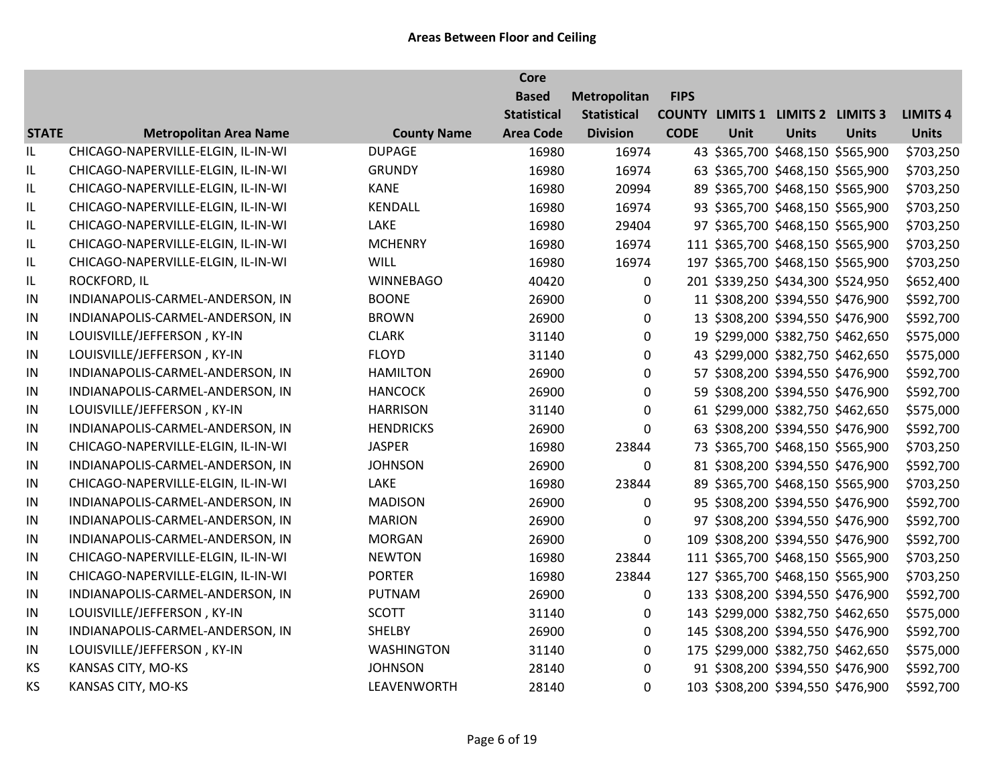|              |                                    |                    | <b>Core</b>        |                    |             |             |                                          |              |                 |
|--------------|------------------------------------|--------------------|--------------------|--------------------|-------------|-------------|------------------------------------------|--------------|-----------------|
|              |                                    |                    | <b>Based</b>       | Metropolitan       | <b>FIPS</b> |             |                                          |              |                 |
|              |                                    |                    | <b>Statistical</b> | <b>Statistical</b> |             |             | <b>COUNTY LIMITS 1 LIMITS 2 LIMITS 3</b> |              | <b>LIMITS 4</b> |
| <b>STATE</b> | <b>Metropolitan Area Name</b>      | <b>County Name</b> | <b>Area Code</b>   | <b>Division</b>    | <b>CODE</b> | <b>Unit</b> | <b>Units</b>                             | <b>Units</b> | <b>Units</b>    |
| IL           | CHICAGO-NAPERVILLE-ELGIN, IL-IN-WI | <b>DUPAGE</b>      | 16980              | 16974              |             |             | 43 \$365,700 \$468,150 \$565,900         |              | \$703,250       |
| IL           | CHICAGO-NAPERVILLE-ELGIN, IL-IN-WI | <b>GRUNDY</b>      | 16980              | 16974              |             |             | 63 \$365,700 \$468,150 \$565,900         |              | \$703,250       |
| IL           | CHICAGO-NAPERVILLE-ELGIN, IL-IN-WI | <b>KANE</b>        | 16980              | 20994              |             |             | 89 \$365,700 \$468,150 \$565,900         |              | \$703,250       |
| IL           | CHICAGO-NAPERVILLE-ELGIN, IL-IN-WI | KENDALL            | 16980              | 16974              |             |             | 93 \$365,700 \$468,150 \$565,900         |              | \$703,250       |
| IL           | CHICAGO-NAPERVILLE-ELGIN, IL-IN-WI | LAKE               | 16980              | 29404              |             |             | 97 \$365,700 \$468,150 \$565,900         |              | \$703,250       |
| IL           | CHICAGO-NAPERVILLE-ELGIN, IL-IN-WI | <b>MCHENRY</b>     | 16980              | 16974              |             |             | 111 \$365,700 \$468,150 \$565,900        |              | \$703,250       |
| IL           | CHICAGO-NAPERVILLE-ELGIN, IL-IN-WI | <b>WILL</b>        | 16980              | 16974              |             |             | 197 \$365,700 \$468,150 \$565,900        |              | \$703,250       |
| IL           | ROCKFORD, IL                       | <b>WINNEBAGO</b>   | 40420              | 0                  |             |             | 201 \$339,250 \$434,300 \$524,950        |              | \$652,400       |
| IN           | INDIANAPOLIS-CARMEL-ANDERSON, IN   | <b>BOONE</b>       | 26900              | $\Omega$           |             |             | 11 \$308,200 \$394,550 \$476,900         |              | \$592,700       |
| IN           | INDIANAPOLIS-CARMEL-ANDERSON, IN   | <b>BROWN</b>       | 26900              | 0                  |             |             | 13 \$308,200 \$394,550 \$476,900         |              | \$592,700       |
| IN           | LOUISVILLE/JEFFERSON, KY-IN        | <b>CLARK</b>       | 31140              | 0                  |             |             | 19 \$299,000 \$382,750 \$462,650         |              | \$575,000       |
| $\sf IN$     | LOUISVILLE/JEFFERSON, KY-IN        | <b>FLOYD</b>       | 31140              | 0                  |             |             | 43 \$299,000 \$382,750 \$462,650         |              | \$575,000       |
| IN           | INDIANAPOLIS-CARMEL-ANDERSON, IN   | <b>HAMILTON</b>    | 26900              | $\mathbf 0$        |             |             | 57 \$308,200 \$394,550 \$476,900         |              | \$592,700       |
| IN           | INDIANAPOLIS-CARMEL-ANDERSON, IN   | <b>HANCOCK</b>     | 26900              | 0                  |             |             | 59 \$308,200 \$394,550 \$476,900         |              | \$592,700       |
| IN           | LOUISVILLE/JEFFERSON, KY-IN        | <b>HARRISON</b>    | 31140              | $\mathbf 0$        |             |             | 61 \$299,000 \$382,750 \$462,650         |              | \$575,000       |
| IN           | INDIANAPOLIS-CARMEL-ANDERSON, IN   | <b>HENDRICKS</b>   | 26900              | $\mathbf{0}$       |             |             | 63 \$308,200 \$394,550 \$476,900         |              | \$592,700       |
| $\sf IN$     | CHICAGO-NAPERVILLE-ELGIN, IL-IN-WI | <b>JASPER</b>      | 16980              | 23844              |             |             | 73 \$365,700 \$468,150 \$565,900         |              | \$703,250       |
| IN           | INDIANAPOLIS-CARMEL-ANDERSON, IN   | <b>JOHNSON</b>     | 26900              | 0                  |             |             | 81 \$308,200 \$394,550 \$476,900         |              | \$592,700       |
| IN           | CHICAGO-NAPERVILLE-ELGIN, IL-IN-WI | LAKE               | 16980              | 23844              |             |             | 89 \$365,700 \$468,150 \$565,900         |              | \$703,250       |
| IN           | INDIANAPOLIS-CARMEL-ANDERSON, IN   | <b>MADISON</b>     | 26900              | 0                  |             |             | 95 \$308,200 \$394,550 \$476,900         |              | \$592,700       |
| ${\sf IN}$   | INDIANAPOLIS-CARMEL-ANDERSON, IN   | <b>MARION</b>      | 26900              | $\mathbf 0$        |             |             | 97 \$308,200 \$394,550 \$476,900         |              | \$592,700       |
| IN           | INDIANAPOLIS-CARMEL-ANDERSON, IN   | <b>MORGAN</b>      | 26900              | 0                  |             |             | 109 \$308,200 \$394,550 \$476,900        |              | \$592,700       |
| IN           | CHICAGO-NAPERVILLE-ELGIN, IL-IN-WI | <b>NEWTON</b>      | 16980              | 23844              |             |             | 111 \$365,700 \$468,150 \$565,900        |              | \$703,250       |
| IN           | CHICAGO-NAPERVILLE-ELGIN, IL-IN-WI | <b>PORTER</b>      | 16980              | 23844              |             |             | 127 \$365,700 \$468,150 \$565,900        |              | \$703,250       |
| IN           | INDIANAPOLIS-CARMEL-ANDERSON, IN   | <b>PUTNAM</b>      | 26900              | 0                  |             |             | 133 \$308,200 \$394,550 \$476,900        |              | \$592,700       |
| ${\sf IN}$   | LOUISVILLE/JEFFERSON, KY-IN        | <b>SCOTT</b>       | 31140              | 0                  |             |             | 143 \$299,000 \$382,750 \$462,650        |              | \$575,000       |
| IN           | INDIANAPOLIS-CARMEL-ANDERSON, IN   | SHELBY             | 26900              | 0                  |             |             | 145 \$308,200 \$394,550 \$476,900        |              | \$592,700       |
| IN           | LOUISVILLE/JEFFERSON, KY-IN        | <b>WASHINGTON</b>  | 31140              | 0                  |             |             | 175 \$299,000 \$382,750 \$462,650        |              | \$575,000       |
| KS           | KANSAS CITY, MO-KS                 | <b>JOHNSON</b>     | 28140              | 0                  |             |             | 91 \$308,200 \$394,550 \$476,900         |              | \$592,700       |
| <b>KS</b>    | KANSAS CITY, MO-KS                 | LEAVENWORTH        | 28140              | $\Omega$           |             |             | 103 \$308,200 \$394,550 \$476,900        |              | \$592,700       |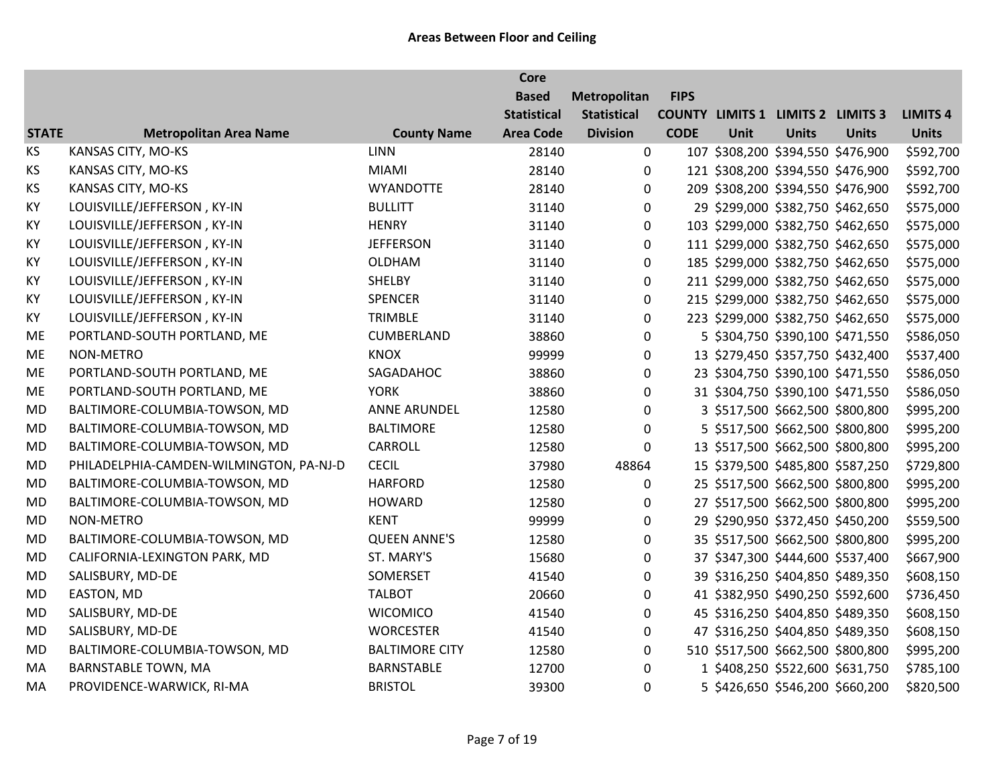|              |                                         |                       | <b>Core</b>        |                    |             |      |                                          |                                   |                 |
|--------------|-----------------------------------------|-----------------------|--------------------|--------------------|-------------|------|------------------------------------------|-----------------------------------|-----------------|
|              |                                         |                       | <b>Based</b>       | Metropolitan       | <b>FIPS</b> |      |                                          |                                   |                 |
|              |                                         |                       | <b>Statistical</b> | <b>Statistical</b> |             |      | <b>COUNTY LIMITS 1 LIMITS 2 LIMITS 3</b> |                                   | <b>LIMITS 4</b> |
| <b>STATE</b> | <b>Metropolitan Area Name</b>           | <b>County Name</b>    | <b>Area Code</b>   | <b>Division</b>    | <b>CODE</b> | Unit | <b>Units</b>                             | <b>Units</b>                      | <b>Units</b>    |
| KS           | KANSAS CITY, MO-KS                      | <b>LINN</b>           | 28140              | 0                  |             |      | 107 \$308,200 \$394,550 \$476,900        |                                   | \$592,700       |
| KS           | KANSAS CITY, MO-KS                      | <b>MIAMI</b>          | 28140              | $\Omega$           |             |      | 121 \$308,200 \$394,550 \$476,900        |                                   | \$592,700       |
| KS           | KANSAS CITY, MO-KS                      | <b>WYANDOTTE</b>      | 28140              | $\mathbf 0$        |             |      | 209 \$308,200 \$394,550 \$476,900        |                                   | \$592,700       |
| KY           | LOUISVILLE/JEFFERSON, KY-IN             | <b>BULLITT</b>        | 31140              | $\boldsymbol{0}$   |             |      |                                          | 29 \$299,000 \$382,750 \$462,650  | \$575,000       |
| KY           | LOUISVILLE/JEFFERSON, KY-IN             | <b>HENRY</b>          | 31140              | $\mathbf 0$        |             |      |                                          | 103 \$299,000 \$382,750 \$462,650 | \$575,000       |
| KY           | LOUISVILLE/JEFFERSON, KY-IN             | <b>JEFFERSON</b>      | 31140              | 0                  |             |      | 111 \$299,000 \$382,750 \$462,650        |                                   | \$575,000       |
| KY           | LOUISVILLE/JEFFERSON, KY-IN             | <b>OLDHAM</b>         | 31140              | $\mathbf 0$        |             |      | 185 \$299,000 \$382,750 \$462,650        |                                   | \$575,000       |
| KY           | LOUISVILLE/JEFFERSON, KY-IN             | <b>SHELBY</b>         | 31140              | $\boldsymbol{0}$   |             |      | 211 \$299,000 \$382,750 \$462,650        |                                   | \$575,000       |
| KY           | LOUISVILLE/JEFFERSON, KY-IN             | <b>SPENCER</b>        | 31140              | $\mathbf 0$        |             |      |                                          | 215 \$299,000 \$382,750 \$462,650 | \$575,000       |
| KY           | LOUISVILLE/JEFFERSON, KY-IN             | <b>TRIMBLE</b>        | 31140              | $\boldsymbol{0}$   |             |      |                                          | 223 \$299,000 \$382,750 \$462,650 | \$575,000       |
| ME           | PORTLAND-SOUTH PORTLAND, ME             | <b>CUMBERLAND</b>     | 38860              | 0                  |             |      |                                          | 5 \$304,750 \$390,100 \$471,550   | \$586,050       |
| ME           | NON-METRO                               | <b>KNOX</b>           | 99999              | 0                  |             |      | 13 \$279,450 \$357,750 \$432,400         |                                   | \$537,400       |
| ME           | PORTLAND-SOUTH PORTLAND, ME             | SAGADAHOC             | 38860              | $\pmb{0}$          |             |      | 23 \$304,750 \$390,100 \$471,550         |                                   | \$586,050       |
| ME           | PORTLAND-SOUTH PORTLAND, ME             | <b>YORK</b>           | 38860              | $\mathbf 0$        |             |      |                                          | 31 \$304,750 \$390,100 \$471,550  | \$586,050       |
| MD           | BALTIMORE-COLUMBIA-TOWSON, MD           | <b>ANNE ARUNDEL</b>   | 12580              | $\boldsymbol{0}$   |             |      |                                          | 3 \$517,500 \$662,500 \$800,800   | \$995,200       |
| MD           | BALTIMORE-COLUMBIA-TOWSON, MD           | <b>BALTIMORE</b>      | 12580              | 0                  |             |      | 5 \$517,500 \$662,500 \$800,800          |                                   | \$995,200       |
| <b>MD</b>    | BALTIMORE-COLUMBIA-TOWSON, MD           | CARROLL               | 12580              | 0                  |             |      | 13 \$517,500 \$662,500 \$800,800         |                                   | \$995,200       |
| <b>MD</b>    | PHILADELPHIA-CAMDEN-WILMINGTON, PA-NJ-D | <b>CECIL</b>          | 37980              | 48864              |             |      | 15 \$379,500 \$485,800 \$587,250         |                                   | \$729,800       |
| <b>MD</b>    | BALTIMORE-COLUMBIA-TOWSON, MD           | <b>HARFORD</b>        | 12580              | 0                  |             |      |                                          | 25 \$517,500 \$662,500 \$800,800  | \$995,200       |
| <b>MD</b>    | BALTIMORE-COLUMBIA-TOWSON, MD           | <b>HOWARD</b>         | 12580              | $\pmb{0}$          |             |      | 27 \$517,500 \$662,500 \$800,800         |                                   | \$995,200       |
| MD           | NON-METRO                               | <b>KENT</b>           | 99999              | $\pmb{0}$          |             |      | 29 \$290,950 \$372,450 \$450,200         |                                   | \$559,500       |
| <b>MD</b>    | BALTIMORE-COLUMBIA-TOWSON, MD           | <b>QUEEN ANNE'S</b>   | 12580              | 0                  |             |      | 35 \$517,500 \$662,500 \$800,800         |                                   | \$995,200       |
| <b>MD</b>    | CALIFORNIA-LEXINGTON PARK, MD           | ST. MARY'S            | 15680              | $\mathbf 0$        |             |      | 37 \$347,300 \$444,600 \$537,400         |                                   | \$667,900       |
| <b>MD</b>    | SALISBURY, MD-DE                        | SOMERSET              | 41540              | $\boldsymbol{0}$   |             |      |                                          | 39 \$316,250 \$404,850 \$489,350  | \$608,150       |
| MD           | EASTON, MD                              | <b>TALBOT</b>         | 20660              | $\boldsymbol{0}$   |             |      |                                          | 41 \$382,950 \$490,250 \$592,600  | \$736,450       |
| MD           | SALISBURY, MD-DE                        | <b>WICOMICO</b>       | 41540              | $\pmb{0}$          |             |      | 45 \$316,250 \$404,850 \$489,350         |                                   | \$608,150       |
| <b>MD</b>    | SALISBURY, MD-DE                        | <b>WORCESTER</b>      | 41540              | $\mathbf 0$        |             |      | 47 \$316,250 \$404,850 \$489,350         |                                   | \$608,150       |
| <b>MD</b>    | BALTIMORE-COLUMBIA-TOWSON, MD           | <b>BALTIMORE CITY</b> | 12580              | 0                  |             |      | 510 \$517,500 \$662,500 \$800,800        |                                   | \$995,200       |
| MA           | <b>BARNSTABLE TOWN, MA</b>              | <b>BARNSTABLE</b>     | 12700              | $\mathbf 0$        |             |      |                                          | 1 \$408,250 \$522,600 \$631,750   | \$785,100       |
| MA           | PROVIDENCE-WARWICK, RI-MA               | <b>BRISTOL</b>        | 39300              | $\mathbf 0$        |             |      | 5 \$426,650 \$546,200 \$660,200          |                                   | \$820,500       |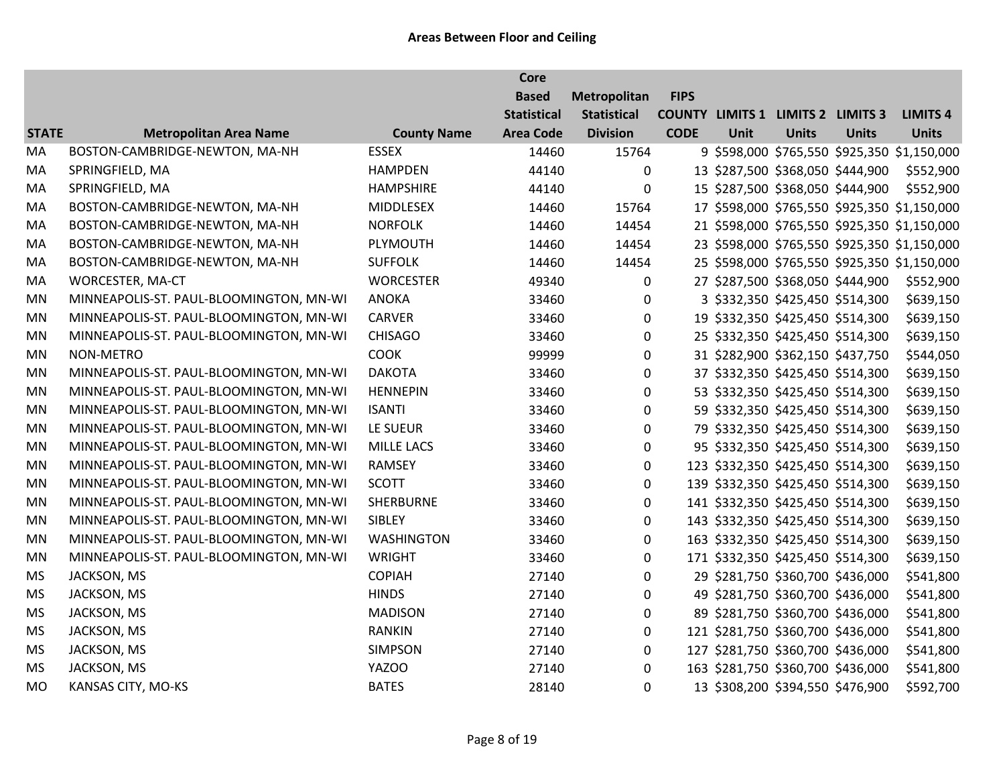|              |                                         |                    | <b>Core</b>        |                    |             |      |                                          |              |                                              |
|--------------|-----------------------------------------|--------------------|--------------------|--------------------|-------------|------|------------------------------------------|--------------|----------------------------------------------|
|              |                                         |                    | <b>Based</b>       | Metropolitan       | <b>FIPS</b> |      |                                          |              |                                              |
|              |                                         |                    | <b>Statistical</b> | <b>Statistical</b> |             |      | <b>COUNTY LIMITS 1 LIMITS 2 LIMITS 3</b> |              | <b>LIMITS 4</b>                              |
| <b>STATE</b> | <b>Metropolitan Area Name</b>           | <b>County Name</b> | <b>Area Code</b>   | <b>Division</b>    | <b>CODE</b> | Unit | <b>Units</b>                             | <b>Units</b> | <b>Units</b>                                 |
| MA           | BOSTON-CAMBRIDGE-NEWTON, MA-NH          | <b>ESSEX</b>       | 14460              | 15764              |             |      |                                          |              | 9 \$598,000 \$765,550 \$925,350 \$1,150,000  |
| MA           | SPRINGFIELD, MA                         | <b>HAMPDEN</b>     | 44140              | $\Omega$           |             |      | 13 \$287,500 \$368,050 \$444,900         |              | \$552,900                                    |
| MA           | SPRINGFIELD, MA                         | <b>HAMPSHIRE</b>   | 44140              | 0                  |             |      | 15 \$287,500 \$368,050 \$444,900         |              | \$552,900                                    |
| MA           | BOSTON-CAMBRIDGE-NEWTON, MA-NH          | MIDDLESEX          | 14460              | 15764              |             |      |                                          |              | 17 \$598,000 \$765,550 \$925,350 \$1,150,000 |
| MA           | BOSTON-CAMBRIDGE-NEWTON, MA-NH          | <b>NORFOLK</b>     | 14460              | 14454              |             |      |                                          |              | 21 \$598,000 \$765,550 \$925,350 \$1,150,000 |
| MA           | BOSTON-CAMBRIDGE-NEWTON, MA-NH          | PLYMOUTH           | 14460              | 14454              |             |      |                                          |              | 23 \$598,000 \$765,550 \$925,350 \$1,150,000 |
| MA           | BOSTON-CAMBRIDGE-NEWTON, MA-NH          | <b>SUFFOLK</b>     | 14460              | 14454              |             |      |                                          |              | 25 \$598,000 \$765,550 \$925,350 \$1,150,000 |
| MA           | WORCESTER, MA-CT                        | <b>WORCESTER</b>   | 49340              | $\mathbf{0}$       |             |      | 27 \$287,500 \$368,050 \$444,900         |              | \$552,900                                    |
| <b>MN</b>    | MINNEAPOLIS-ST. PAUL-BLOOMINGTON, MN-WI | <b>ANOKA</b>       | 33460              | 0                  |             |      | 3 \$332,350 \$425,450 \$514,300          |              | \$639,150                                    |
| <b>MN</b>    | MINNEAPOLIS-ST. PAUL-BLOOMINGTON, MN-WI | <b>CARVER</b>      | 33460              | $\pmb{0}$          |             |      | 19 \$332,350 \$425,450 \$514,300         |              | \$639,150                                    |
| <b>MN</b>    | MINNEAPOLIS-ST. PAUL-BLOOMINGTON, MN-WI | <b>CHISAGO</b>     | 33460              | 0                  |             |      | 25 \$332,350 \$425,450 \$514,300         |              | \$639,150                                    |
| MN           | NON-METRO                               | <b>COOK</b>        | 99999              | 0                  |             |      | 31 \$282,900 \$362,150 \$437,750         |              | \$544,050                                    |
| <b>MN</b>    | MINNEAPOLIS-ST. PAUL-BLOOMINGTON, MN-WI | <b>DAKOTA</b>      | 33460              | $\boldsymbol{0}$   |             |      | 37 \$332,350 \$425,450 \$514,300         |              | \$639,150                                    |
| MN           | MINNEAPOLIS-ST. PAUL-BLOOMINGTON, MN-WI | <b>HENNEPIN</b>    | 33460              | $\pmb{0}$          |             |      | 53 \$332,350 \$425,450 \$514,300         |              | \$639,150                                    |
| <b>MN</b>    | MINNEAPOLIS-ST. PAUL-BLOOMINGTON, MN-WI | <b>ISANTI</b>      | 33460              | $\boldsymbol{0}$   |             |      | 59 \$332,350 \$425,450 \$514,300         |              | \$639,150                                    |
| MN           | MINNEAPOLIS-ST. PAUL-BLOOMINGTON, MN-WI | LE SUEUR           | 33460              | 0                  |             |      | 79 \$332,350 \$425,450 \$514,300         |              | \$639,150                                    |
| MN           | MINNEAPOLIS-ST. PAUL-BLOOMINGTON, MN-WI | <b>MILLE LACS</b>  | 33460              | 0                  |             |      | 95 \$332,350 \$425,450 \$514,300         |              | \$639,150                                    |
| MN           | MINNEAPOLIS-ST. PAUL-BLOOMINGTON, MN-WI | RAMSEY             | 33460              | $\mathbf 0$        |             |      | 123 \$332,350 \$425,450 \$514,300        |              | \$639,150                                    |
| <b>MN</b>    | MINNEAPOLIS-ST. PAUL-BLOOMINGTON, MN-WI | <b>SCOTT</b>       | 33460              | $\mathbf 0$        |             |      | 139 \$332,350 \$425,450 \$514,300        |              | \$639,150                                    |
| MN           | MINNEAPOLIS-ST. PAUL-BLOOMINGTON, MN-WI | SHERBURNE          | 33460              | 0                  |             |      | 141 \$332,350 \$425,450 \$514,300        |              | \$639,150                                    |
| MN           | MINNEAPOLIS-ST. PAUL-BLOOMINGTON, MN-WI | SIBLEY             | 33460              | 0                  |             |      | 143 \$332,350 \$425,450 \$514,300        |              | \$639,150                                    |
| MN           | MINNEAPOLIS-ST. PAUL-BLOOMINGTON, MN-WI | <b>WASHINGTON</b>  | 33460              | $\mathbf 0$        |             |      | 163 \$332,350 \$425,450 \$514,300        |              | \$639,150                                    |
| <b>MN</b>    | MINNEAPOLIS-ST. PAUL-BLOOMINGTON, MN-WI | <b>WRIGHT</b>      | 33460              | $\mathbf 0$        |             |      | 171 \$332,350 \$425,450 \$514,300        |              | \$639,150                                    |
| MS           | JACKSON, MS                             | <b>COPIAH</b>      | 27140              | $\boldsymbol{0}$   |             |      | 29 \$281,750 \$360,700 \$436,000         |              | \$541,800                                    |
| <b>MS</b>    | JACKSON, MS                             | <b>HINDS</b>       | 27140              | 0                  |             |      | 49 \$281,750 \$360,700 \$436,000         |              | \$541,800                                    |
| MS           | JACKSON, MS                             | <b>MADISON</b>     | 27140              | 0                  |             |      | 89 \$281,750 \$360,700 \$436,000         |              | \$541,800                                    |
| <b>MS</b>    | JACKSON, MS                             | <b>RANKIN</b>      | 27140              | $\mathbf 0$        |             |      | 121 \$281,750 \$360,700 \$436,000        |              | \$541,800                                    |
| MS           | JACKSON, MS                             | <b>SIMPSON</b>     | 27140              | 0                  |             |      | 127 \$281,750 \$360,700 \$436,000        |              | \$541,800                                    |
| <b>MS</b>    | JACKSON, MS                             | YAZOO              | 27140              | $\mathbf 0$        |             |      | 163 \$281,750 \$360,700 \$436,000        |              | \$541,800                                    |
| <b>MO</b>    | KANSAS CITY, MO-KS                      | <b>BATES</b>       | 28140              | 0                  |             |      | 13 \$308,200 \$394,550 \$476,900         |              | \$592,700                                    |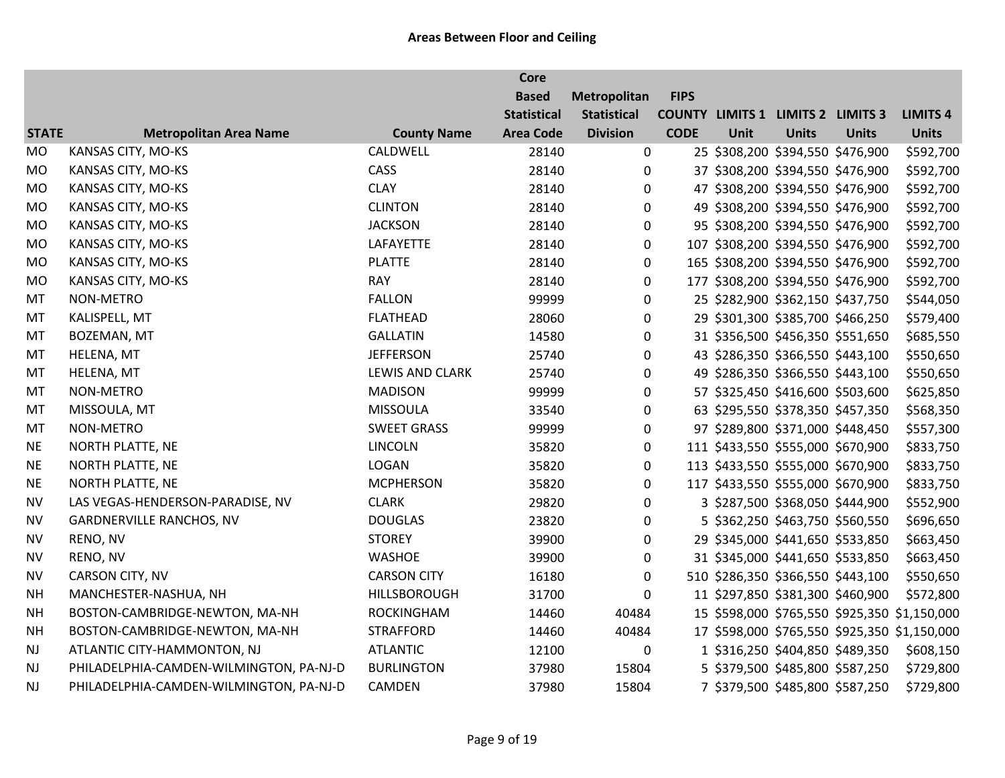|              |                                         |                    | <b>Core</b>        |                    |             |      |                                          |              |                                              |
|--------------|-----------------------------------------|--------------------|--------------------|--------------------|-------------|------|------------------------------------------|--------------|----------------------------------------------|
|              |                                         |                    | <b>Based</b>       | Metropolitan       | <b>FIPS</b> |      |                                          |              |                                              |
|              |                                         |                    | <b>Statistical</b> | <b>Statistical</b> |             |      | <b>COUNTY LIMITS 1 LIMITS 2 LIMITS 3</b> |              | <b>LIMITS 4</b>                              |
| <b>STATE</b> | <b>Metropolitan Area Name</b>           | <b>County Name</b> | <b>Area Code</b>   | <b>Division</b>    | <b>CODE</b> | Unit | <b>Units</b>                             | <b>Units</b> | <b>Units</b>                                 |
| <b>MO</b>    | KANSAS CITY, MO-KS                      | CALDWELL           | 28140              | 0                  |             |      | 25 \$308,200 \$394,550 \$476,900         |              | \$592,700                                    |
| <b>MO</b>    | KANSAS CITY, MO-KS                      | CASS               | 28140              | $\mathbf{0}$       |             |      | 37 \$308,200 \$394,550 \$476,900         |              | \$592,700                                    |
| MO           | KANSAS CITY, MO-KS                      | <b>CLAY</b>        | 28140              | $\boldsymbol{0}$   |             |      | 47 \$308,200 \$394,550 \$476,900         |              | \$592,700                                    |
| <b>MO</b>    | KANSAS CITY, MO-KS                      | <b>CLINTON</b>     | 28140              | $\boldsymbol{0}$   |             |      | 49 \$308,200 \$394,550 \$476,900         |              | \$592,700                                    |
| MO           | KANSAS CITY, MO-KS                      | <b>JACKSON</b>     | 28140              | 0                  |             |      | 95 \$308,200 \$394,550 \$476,900         |              | \$592,700                                    |
| <b>MO</b>    | KANSAS CITY, MO-KS                      | LAFAYETTE          | 28140              | 0                  |             |      | 107 \$308,200 \$394,550 \$476,900        |              | \$592,700                                    |
| <b>MO</b>    | KANSAS CITY, MO-KS                      | <b>PLATTE</b>      | 28140              | $\mathbf 0$        |             |      | 165 \$308,200 \$394,550 \$476,900        |              | \$592,700                                    |
| <b>MO</b>    | KANSAS CITY, MO-KS                      | <b>RAY</b>         | 28140              | $\mathbf 0$        |             |      | 177 \$308,200 \$394,550 \$476,900        |              | \$592,700                                    |
| MT           | NON-METRO                               | <b>FALLON</b>      | 99999              | 0                  |             |      | 25 \$282,900 \$362,150 \$437,750         |              | \$544,050                                    |
| MT           | KALISPELL, MT                           | <b>FLATHEAD</b>    | 28060              | 0                  |             |      | 29 \$301,300 \$385,700 \$466,250         |              | \$579,400                                    |
| MT           | BOZEMAN, MT                             | <b>GALLATIN</b>    | 14580              | 0                  |             |      | 31 \$356,500 \$456,350 \$551,650         |              | \$685,550                                    |
| MT           | HELENA, MT                              | <b>JEFFERSON</b>   | 25740              | $\boldsymbol{0}$   |             |      | 43 \$286,350 \$366,550 \$443,100         |              | \$550,650                                    |
| MT           | HELENA, MT                              | LEWIS AND CLARK    | 25740              | $\boldsymbol{0}$   |             |      | 49 \$286,350 \$366,550 \$443,100         |              | \$550,650                                    |
| MT           | NON-METRO                               | <b>MADISON</b>     | 99999              | $\boldsymbol{0}$   |             |      | 57 \$325,450 \$416,600 \$503,600         |              | \$625,850                                    |
| MT           | MISSOULA, MT                            | <b>MISSOULA</b>    | 33540              | 0                  |             |      | 63 \$295,550 \$378,350 \$457,350         |              | \$568,350                                    |
| MT           | NON-METRO                               | <b>SWEET GRASS</b> | 99999              | 0                  |             |      | 97 \$289,800 \$371,000 \$448,450         |              | \$557,300                                    |
| <b>NE</b>    | NORTH PLATTE, NE                        | <b>LINCOLN</b>     | 35820              | 0                  |             |      | 111 \$433,550 \$555,000 \$670,900        |              | \$833,750                                    |
| <b>NE</b>    | NORTH PLATTE, NE                        | LOGAN              | 35820              | $\mathbf 0$        |             |      | 113 \$433,550 \$555,000 \$670,900        |              | \$833,750                                    |
| <b>NE</b>    | NORTH PLATTE, NE                        | <b>MCPHERSON</b>   | 35820              | 0                  |             |      | 117 \$433,550 \$555,000 \$670,900        |              | \$833,750                                    |
| <b>NV</b>    | LAS VEGAS-HENDERSON-PARADISE, NV        | <b>CLARK</b>       | 29820              | 0                  |             |      | 3 \$287,500 \$368,050 \$444,900          |              | \$552,900                                    |
| <b>NV</b>    | <b>GARDNERVILLE RANCHOS, NV</b>         | <b>DOUGLAS</b>     | 23820              | 0                  |             |      | 5 \$362,250 \$463,750 \$560,550          |              | \$696,650                                    |
| <b>NV</b>    | RENO, NV                                | <b>STOREY</b>      | 39900              | 0                  |             |      | 29 \$345,000 \$441,650 \$533,850         |              | \$663,450                                    |
| <b>NV</b>    | RENO, NV                                | <b>WASHOE</b>      | 39900              | $\mathbf 0$        |             |      | 31 \$345,000 \$441,650 \$533,850         |              | \$663,450                                    |
| <b>NV</b>    | CARSON CITY, NV                         | <b>CARSON CITY</b> | 16180              | $\boldsymbol{0}$   |             |      | 510 \$286,350 \$366,550 \$443,100        |              | \$550,650                                    |
| <b>NH</b>    | MANCHESTER-NASHUA, NH                   | HILLSBOROUGH       | 31700              | 0                  |             |      | 11 \$297,850 \$381,300 \$460,900         |              | \$572,800                                    |
| <b>NH</b>    | BOSTON-CAMBRIDGE-NEWTON, MA-NH          | <b>ROCKINGHAM</b>  | 14460              | 40484              |             |      |                                          |              | 15 \$598,000 \$765,550 \$925,350 \$1,150,000 |
| <b>NH</b>    | BOSTON-CAMBRIDGE-NEWTON, MA-NH          | <b>STRAFFORD</b>   | 14460              | 40484              |             |      |                                          |              | 17 \$598,000 \$765,550 \$925,350 \$1,150,000 |
| <b>NJ</b>    | ATLANTIC CITY-HAMMONTON, NJ             | <b>ATLANTIC</b>    | 12100              | $\pmb{0}$          |             |      | 1 \$316,250 \$404,850 \$489,350          |              | \$608,150                                    |
| NJ           | PHILADELPHIA-CAMDEN-WILMINGTON, PA-NJ-D | <b>BURLINGTON</b>  | 37980              | 15804              |             |      | 5 \$379,500 \$485,800 \$587,250          |              | \$729,800                                    |
| <b>NJ</b>    | PHILADELPHIA-CAMDEN-WILMINGTON, PA-NJ-D | <b>CAMDEN</b>      | 37980              | 15804              |             |      | 7 \$379,500 \$485,800 \$587,250          |              | \$729,800                                    |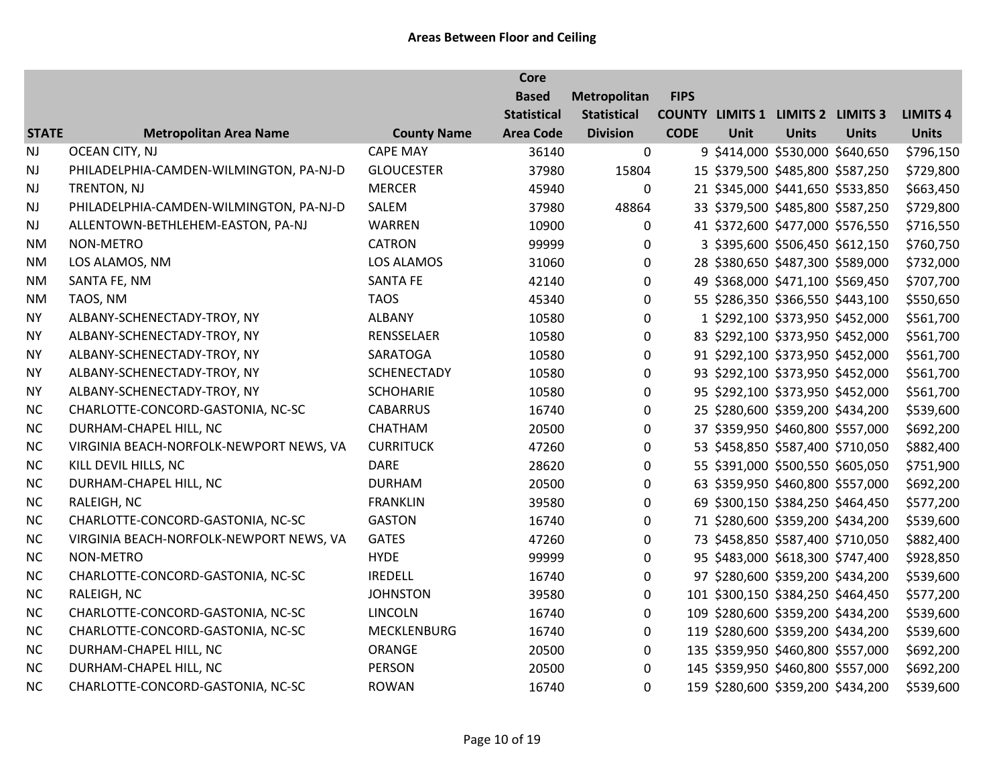|              |                                         |                    | <b>Core</b>        |                    |             |      |                                          |              |                 |
|--------------|-----------------------------------------|--------------------|--------------------|--------------------|-------------|------|------------------------------------------|--------------|-----------------|
|              |                                         |                    | <b>Based</b>       | Metropolitan       | <b>FIPS</b> |      |                                          |              |                 |
|              |                                         |                    | <b>Statistical</b> | <b>Statistical</b> |             |      | <b>COUNTY LIMITS 1 LIMITS 2 LIMITS 3</b> |              | <b>LIMITS 4</b> |
| <b>STATE</b> | <b>Metropolitan Area Name</b>           | <b>County Name</b> | <b>Area Code</b>   | <b>Division</b>    | <b>CODE</b> | Unit | <b>Units</b>                             | <b>Units</b> | <b>Units</b>    |
| <b>NJ</b>    | OCEAN CITY, NJ                          | <b>CAPE MAY</b>    | 36140              | $\mathbf 0$        |             |      | 9 \$414,000 \$530,000 \$640,650          |              | \$796,150       |
| <b>NJ</b>    | PHILADELPHIA-CAMDEN-WILMINGTON, PA-NJ-D | <b>GLOUCESTER</b>  | 37980              | 15804              |             |      | 15 \$379,500 \$485,800 \$587,250         |              | \$729,800       |
| <b>NJ</b>    | TRENTON, NJ                             | <b>MERCER</b>      | 45940              | 0                  |             |      | 21 \$345,000 \$441,650 \$533,850         |              | \$663,450       |
| NJ           | PHILADELPHIA-CAMDEN-WILMINGTON, PA-NJ-D | SALEM              | 37980              | 48864              |             |      | 33 \$379,500 \$485,800 \$587,250         |              | \$729,800       |
| <b>NJ</b>    | ALLENTOWN-BETHLEHEM-EASTON, PA-NJ       | WARREN             | 10900              | $\mathbf 0$        |             |      | 41 \$372,600 \$477,000 \$576,550         |              | \$716,550       |
| <b>NM</b>    | <b>NON-METRO</b>                        | <b>CATRON</b>      | 99999              | 0                  |             |      | 3 \$395,600 \$506,450 \$612,150          |              | \$760,750       |
| <b>NM</b>    | LOS ALAMOS, NM                          | <b>LOS ALAMOS</b>  | 31060              | 0                  |             |      | 28 \$380,650 \$487,300 \$589,000         |              | \$732,000       |
| <b>NM</b>    | SANTA FE, NM                            | <b>SANTA FE</b>    | 42140              | $\mathbf 0$        |             |      | 49 \$368,000 \$471,100 \$569,450         |              | \$707,700       |
| <b>NM</b>    | TAOS, NM                                | <b>TAOS</b>        | 45340              | $\mathbf 0$        |             |      | 55 \$286,350 \$366,550 \$443,100         |              | \$550,650       |
| <b>NY</b>    | ALBANY-SCHENECTADY-TROY, NY             | <b>ALBANY</b>      | 10580              | $\mathbf 0$        |             |      | 1 \$292,100 \$373,950 \$452,000          |              | \$561,700       |
| <b>NY</b>    | ALBANY-SCHENECTADY-TROY, NY             | RENSSELAER         | 10580              | 0                  |             |      | 83 \$292,100 \$373,950 \$452,000         |              | \$561,700       |
| <b>NY</b>    | ALBANY-SCHENECTADY-TROY, NY             | SARATOGA           | 10580              | 0                  |             |      | 91 \$292,100 \$373,950 \$452,000         |              | \$561,700       |
| <b>NY</b>    | ALBANY-SCHENECTADY-TROY, NY             | <b>SCHENECTADY</b> | 10580              | $\mathbf 0$        |             |      | 93 \$292,100 \$373,950 \$452,000         |              | \$561,700       |
| <b>NY</b>    | ALBANY-SCHENECTADY-TROY, NY             | <b>SCHOHARIE</b>   | 10580              | 0                  |             |      | 95 \$292,100 \$373,950 \$452,000         |              | \$561,700       |
| <b>NC</b>    | CHARLOTTE-CONCORD-GASTONIA, NC-SC       | <b>CABARRUS</b>    | 16740              | $\mathbf 0$        |             |      | 25 \$280,600 \$359,200 \$434,200         |              | \$539,600       |
| NC           | DURHAM-CHAPEL HILL, NC                  | CHATHAM            | 20500              | 0                  |             |      | 37 \$359,950 \$460,800 \$557,000         |              | \$692,200       |
| <b>NC</b>    | VIRGINIA BEACH-NORFOLK-NEWPORT NEWS, VA | <b>CURRITUCK</b>   | 47260              | 0                  |             |      | 53 \$458,850 \$587,400 \$710,050         |              | \$882,400       |
| <b>NC</b>    | KILL DEVIL HILLS, NC                    | <b>DARE</b>        | 28620              | $\mathbf 0$        |             |      | 55 \$391,000 \$500,550 \$605,050         |              | \$751,900       |
| <b>NC</b>    | DURHAM-CHAPEL HILL, NC                  | <b>DURHAM</b>      | 20500              | 0                  |             |      | 63 \$359,950 \$460,800 \$557,000         |              | \$692,200       |
| <b>NC</b>    | RALEIGH, NC                             | <b>FRANKLIN</b>    | 39580              | $\mathbf 0$        |             |      | 69 \$300,150 \$384,250 \$464,450         |              | \$577,200       |
| <b>NC</b>    | CHARLOTTE-CONCORD-GASTONIA, NC-SC       | <b>GASTON</b>      | 16740              | 0                  |             |      | 71 \$280,600 \$359,200 \$434,200         |              | \$539,600       |
| NC           | VIRGINIA BEACH-NORFOLK-NEWPORT NEWS, VA | <b>GATES</b>       | 47260              | $\mathbf 0$        |             |      | 73 \$458,850 \$587,400 \$710,050         |              | \$882,400       |
| <b>NC</b>    | NON-METRO                               | <b>HYDE</b>        | 99999              | $\mathbf 0$        |             |      | 95 \$483,000 \$618,300 \$747,400         |              | \$928,850       |
| <b>NC</b>    | CHARLOTTE-CONCORD-GASTONIA, NC-SC       | <b>IREDELL</b>     | 16740              | 0                  |             |      | 97 \$280,600 \$359,200 \$434,200         |              | \$539,600       |
| <b>NC</b>    | RALEIGH, NC                             | <b>JOHNSTON</b>    | 39580              | $\mathbf 0$        |             |      | 101 \$300,150 \$384,250 \$464,450        |              | \$577,200       |
| NC           | CHARLOTTE-CONCORD-GASTONIA, NC-SC       | <b>LINCOLN</b>     | 16740              | $\mathbf 0$        |             |      | 109 \$280,600 \$359,200 \$434,200        |              | \$539,600       |
| NC           | CHARLOTTE-CONCORD-GASTONIA, NC-SC       | MECKLENBURG        | 16740              | $\mathbf 0$        |             |      | 119 \$280,600 \$359,200 \$434,200        |              | \$539,600       |
| <b>NC</b>    | DURHAM-CHAPEL HILL, NC                  | ORANGE             | 20500              | 0                  |             |      | 135 \$359,950 \$460,800 \$557,000        |              | \$692,200       |
| <b>NC</b>    | DURHAM-CHAPEL HILL, NC                  | PERSON             | 20500              | $\mathbf 0$        |             |      | 145 \$359,950 \$460,800 \$557,000        |              | \$692,200       |
| <b>NC</b>    | CHARLOTTE-CONCORD-GASTONIA, NC-SC       | <b>ROWAN</b>       | 16740              | $\Omega$           |             |      | 159 \$280,600 \$359,200 \$434,200        |              | \$539,600       |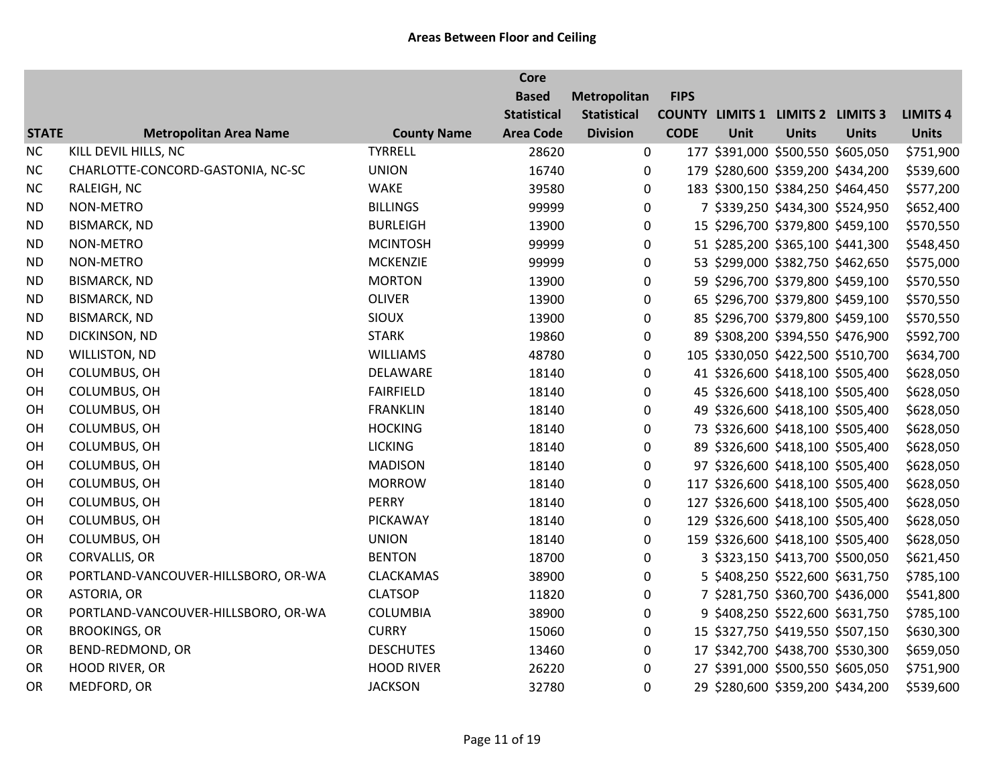|              |                                     |                    | <b>Core</b>        |                    |             |      |                                          |              |                 |
|--------------|-------------------------------------|--------------------|--------------------|--------------------|-------------|------|------------------------------------------|--------------|-----------------|
|              |                                     |                    | <b>Based</b>       | Metropolitan       | <b>FIPS</b> |      |                                          |              |                 |
|              |                                     |                    | <b>Statistical</b> | <b>Statistical</b> |             |      | <b>COUNTY LIMITS 1 LIMITS 2 LIMITS 3</b> |              | <b>LIMITS 4</b> |
| <b>STATE</b> | <b>Metropolitan Area Name</b>       | <b>County Name</b> | <b>Area Code</b>   | <b>Division</b>    | <b>CODE</b> | Unit | <b>Units</b>                             | <b>Units</b> | <b>Units</b>    |
| <b>NC</b>    | KILL DEVIL HILLS, NC                | <b>TYRRELL</b>     | 28620              | 0                  |             |      | 177 \$391,000 \$500,550 \$605,050        |              | \$751,900       |
| <b>NC</b>    | CHARLOTTE-CONCORD-GASTONIA, NC-SC   | <b>UNION</b>       | 16740              | 0                  |             |      | 179 \$280,600 \$359,200 \$434,200        |              | \$539,600       |
| <b>NC</b>    | RALEIGH, NC                         | <b>WAKE</b>        | 39580              | $\boldsymbol{0}$   |             |      | 183 \$300,150 \$384,250 \$464,450        |              | \$577,200       |
| <b>ND</b>    | NON-METRO                           | <b>BILLINGS</b>    | 99999              | $\pmb{0}$          |             |      | 7 \$339,250 \$434,300 \$524,950          |              | \$652,400       |
| <b>ND</b>    | <b>BISMARCK, ND</b>                 | <b>BURLEIGH</b>    | 13900              | 0                  |             |      | 15 \$296,700 \$379,800 \$459,100         |              | \$570,550       |
| <b>ND</b>    | NON-METRO                           | <b>MCINTOSH</b>    | 99999              | 0                  |             |      | 51 \$285,200 \$365,100 \$441,300         |              | \$548,450       |
| <b>ND</b>    | NON-METRO                           | <b>MCKENZIE</b>    | 99999              | 0                  |             |      | 53 \$299,000 \$382,750 \$462,650         |              | \$575,000       |
| <b>ND</b>    | <b>BISMARCK, ND</b>                 | <b>MORTON</b>      | 13900              | $\boldsymbol{0}$   |             |      | 59 \$296,700 \$379,800 \$459,100         |              | \$570,550       |
| <b>ND</b>    | <b>BISMARCK, ND</b>                 | <b>OLIVER</b>      | 13900              | $\boldsymbol{0}$   |             |      | 65 \$296,700 \$379,800 \$459,100         |              | \$570,550       |
| <b>ND</b>    | <b>BISMARCK, ND</b>                 | <b>SIOUX</b>       | 13900              | 0                  |             |      | 85 \$296,700 \$379,800 \$459,100         |              | \$570,550       |
| <b>ND</b>    | DICKINSON, ND                       | <b>STARK</b>       | 19860              | 0                  |             |      | 89 \$308,200 \$394,550 \$476,900         |              | \$592,700       |
| <b>ND</b>    | WILLISTON, ND                       | <b>WILLIAMS</b>    | 48780              | $\boldsymbol{0}$   |             |      | 105 \$330,050 \$422,500 \$510,700        |              | \$634,700       |
| OH           | COLUMBUS, OH                        | DELAWARE           | 18140              | $\mathbf 0$        |             |      | 41 \$326,600 \$418,100 \$505,400         |              | \$628,050       |
| OH           | COLUMBUS, OH                        | <b>FAIRFIELD</b>   | 18140              | $\boldsymbol{0}$   |             |      | 45 \$326,600 \$418,100 \$505,400         |              | \$628,050       |
| OH           | COLUMBUS, OH                        | <b>FRANKLIN</b>    | 18140              | 0                  |             |      | 49 \$326,600 \$418,100 \$505,400         |              | \$628,050       |
| OH           | COLUMBUS, OH                        | <b>HOCKING</b>     | 18140              | 0                  |             |      | 73 \$326,600 \$418,100 \$505,400         |              | \$628,050       |
| OH           | COLUMBUS, OH                        | <b>LICKING</b>     | 18140              | 0                  |             |      | 89 \$326,600 \$418,100 \$505,400         |              | \$628,050       |
| OH           | COLUMBUS, OH                        | <b>MADISON</b>     | 18140              | $\boldsymbol{0}$   |             |      | 97 \$326,600 \$418,100 \$505,400         |              | \$628,050       |
| OH           | COLUMBUS, OH                        | <b>MORROW</b>      | 18140              | $\boldsymbol{0}$   |             |      | 117 \$326,600 \$418,100 \$505,400        |              | \$628,050       |
| OH           | COLUMBUS, OH                        | <b>PERRY</b>       | 18140              | 0                  |             |      | 127 \$326,600 \$418,100 \$505,400        |              | \$628,050       |
| OH           | COLUMBUS, OH                        | PICKAWAY           | 18140              | 0                  |             |      | 129 \$326,600 \$418,100 \$505,400        |              | \$628,050       |
| OH           | COLUMBUS, OH                        | <b>UNION</b>       | 18140              | $\mathbf 0$        |             |      | 159 \$326,600 \$418,100 \$505,400        |              | \$628,050       |
| OR           | CORVALLIS, OR                       | <b>BENTON</b>      | 18700              | 0                  |             |      | 3 \$323,150 \$413,700 \$500,050          |              | \$621,450       |
| OR           | PORTLAND-VANCOUVER-HILLSBORO, OR-WA | <b>CLACKAMAS</b>   | 38900              | 0                  |             |      | 5 \$408,250 \$522,600 \$631,750          |              | \$785,100       |
| OR           | ASTORIA, OR                         | <b>CLATSOP</b>     | 11820              | 0                  |             |      | 7 \$281,750 \$360,700 \$436,000          |              | \$541,800       |
| OR           | PORTLAND-VANCOUVER-HILLSBORO, OR-WA | <b>COLUMBIA</b>    | 38900              | 0                  |             |      | 9 \$408,250 \$522,600 \$631,750          |              | \$785,100       |
| OR           | <b>BROOKINGS, OR</b>                | <b>CURRY</b>       | 15060              | 0                  |             |      | 15 \$327,750 \$419,550 \$507,150         |              | \$630,300       |
| OR           | BEND-REDMOND, OR                    | <b>DESCHUTES</b>   | 13460              | $\pmb{0}$          |             |      | 17 \$342,700 \$438,700 \$530,300         |              | \$659,050       |
| OR           | <b>HOOD RIVER, OR</b>               | <b>HOOD RIVER</b>  | 26220              | 0                  |             |      | 27 \$391,000 \$500,550 \$605,050         |              | \$751,900       |
| OR           | MEDFORD, OR                         | <b>JACKSON</b>     | 32780              | 0                  |             |      | 29 \$280,600 \$359,200 \$434,200         |              | \$539,600       |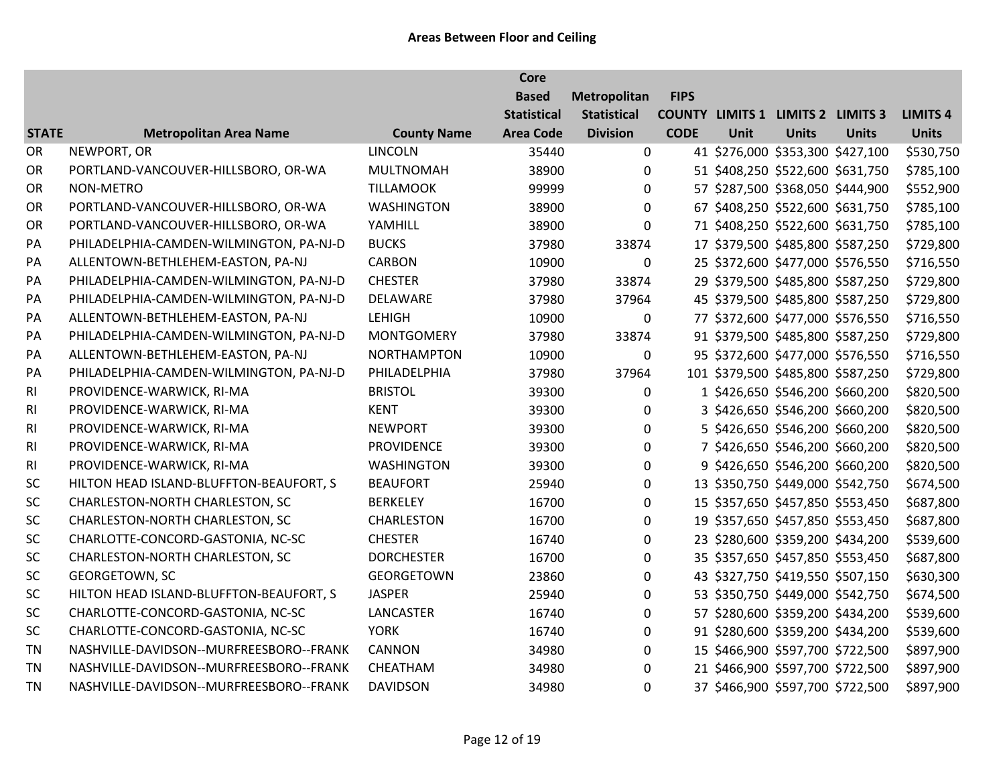|                |                                         |                    | <b>Core</b>        |                    |             |      |                                          |              |                 |
|----------------|-----------------------------------------|--------------------|--------------------|--------------------|-------------|------|------------------------------------------|--------------|-----------------|
|                |                                         |                    | <b>Based</b>       | Metropolitan       | <b>FIPS</b> |      |                                          |              |                 |
|                |                                         |                    | <b>Statistical</b> | <b>Statistical</b> |             |      | <b>COUNTY LIMITS 1 LIMITS 2 LIMITS 3</b> |              | <b>LIMITS 4</b> |
| <b>STATE</b>   | <b>Metropolitan Area Name</b>           | <b>County Name</b> | <b>Area Code</b>   | <b>Division</b>    | <b>CODE</b> | Unit | <b>Units</b>                             | <b>Units</b> | <b>Units</b>    |
| OR             | NEWPORT, OR                             | <b>LINCOLN</b>     | 35440              | $\pmb{0}$          |             |      | 41 \$276,000 \$353,300 \$427,100         |              | \$530,750       |
| OR             | PORTLAND-VANCOUVER-HILLSBORO, OR-WA     | <b>MULTNOMAH</b>   | 38900              | 0                  |             |      | 51 \$408,250 \$522,600 \$631,750         |              | \$785,100       |
| OR             | NON-METRO                               | <b>TILLAMOOK</b>   | 99999              | 0                  |             |      | 57 \$287,500 \$368,050 \$444,900         |              | \$552,900       |
| OR             | PORTLAND-VANCOUVER-HILLSBORO, OR-WA     | <b>WASHINGTON</b>  | 38900              | $\mathbf 0$        |             |      | 67 \$408,250 \$522,600 \$631,750         |              | \$785,100       |
| OR             | PORTLAND-VANCOUVER-HILLSBORO, OR-WA     | YAMHILL            | 38900              | $\mathbf 0$        |             |      | 71 \$408,250 \$522,600 \$631,750         |              | \$785,100       |
| PA             | PHILADELPHIA-CAMDEN-WILMINGTON, PA-NJ-D | <b>BUCKS</b>       | 37980              | 33874              |             |      | 17 \$379,500 \$485,800 \$587,250         |              | \$729,800       |
| PA             | ALLENTOWN-BETHLEHEM-EASTON, PA-NJ       | <b>CARBON</b>      | 10900              | $\mathbf 0$        |             |      | 25 \$372,600 \$477,000 \$576,550         |              | \$716,550       |
| PA             | PHILADELPHIA-CAMDEN-WILMINGTON, PA-NJ-D | <b>CHESTER</b>     | 37980              | 33874              |             |      | 29 \$379,500 \$485,800 \$587,250         |              | \$729,800       |
| PA             | PHILADELPHIA-CAMDEN-WILMINGTON, PA-NJ-D | DELAWARE           | 37980              | 37964              |             |      | 45 \$379,500 \$485,800 \$587,250         |              | \$729,800       |
| PA             | ALLENTOWN-BETHLEHEM-EASTON, PA-NJ       | <b>LEHIGH</b>      | 10900              | 0                  |             |      | 77 \$372,600 \$477,000 \$576,550         |              | \$716,550       |
| PA             | PHILADELPHIA-CAMDEN-WILMINGTON, PA-NJ-D | <b>MONTGOMERY</b>  | 37980              | 33874              |             |      | 91 \$379,500 \$485,800 \$587,250         |              | \$729,800       |
| PA             | ALLENTOWN-BETHLEHEM-EASTON, PA-NJ       | <b>NORTHAMPTON</b> | 10900              | 0                  |             |      | 95 \$372,600 \$477,000 \$576,550         |              | \$716,550       |
| PA             | PHILADELPHIA-CAMDEN-WILMINGTON, PA-NJ-D | PHILADELPHIA       | 37980              | 37964              |             |      | 101 \$379,500 \$485,800 \$587,250        |              | \$729,800       |
| RI             | PROVIDENCE-WARWICK, RI-MA               | <b>BRISTOL</b>     | 39300              | 0                  |             |      | 1 \$426,650 \$546,200 \$660,200          |              | \$820,500       |
| RI             | PROVIDENCE-WARWICK, RI-MA               | <b>KENT</b>        | 39300              | 0                  |             |      | 3 \$426,650 \$546,200 \$660,200          |              | \$820,500       |
| R <sub>l</sub> | PROVIDENCE-WARWICK, RI-MA               | <b>NEWPORT</b>     | 39300              | 0                  |             |      | 5 \$426,650 \$546,200 \$660,200          |              | \$820,500       |
| R <sub>l</sub> | PROVIDENCE-WARWICK, RI-MA               | <b>PROVIDENCE</b>  | 39300              | 0                  |             |      | 7 \$426,650 \$546,200 \$660,200          |              | \$820,500       |
| RI             | PROVIDENCE-WARWICK, RI-MA               | <b>WASHINGTON</b>  | 39300              | $\mathbf 0$        |             |      | 9 \$426,650 \$546,200 \$660,200          |              | \$820,500       |
| SC             | HILTON HEAD ISLAND-BLUFFTON-BEAUFORT, S | <b>BEAUFORT</b>    | 25940              | 0                  |             |      | 13 \$350,750 \$449,000 \$542,750         |              | \$674,500       |
| SC             | CHARLESTON-NORTH CHARLESTON, SC         | <b>BERKELEY</b>    | 16700              | 0                  |             |      | 15 \$357,650 \$457,850 \$553,450         |              | \$687,800       |
| SC             | CHARLESTON-NORTH CHARLESTON, SC         | CHARLESTON         | 16700              | 0                  |             |      | 19 \$357,650 \$457,850 \$553,450         |              | \$687,800       |
| SC             | CHARLOTTE-CONCORD-GASTONIA, NC-SC       | <b>CHESTER</b>     | 16740              | 0                  |             |      | 23 \$280,600 \$359,200 \$434,200         |              | \$539,600       |
| SC             | CHARLESTON-NORTH CHARLESTON, SC         | <b>DORCHESTER</b>  | 16700              | 0                  |             |      | 35 \$357,650 \$457,850 \$553,450         |              | \$687,800       |
| SC             | GEORGETOWN, SC                          | <b>GEORGETOWN</b>  | 23860              | 0                  |             |      | 43 \$327,750 \$419,550 \$507,150         |              | \$630,300       |
| SC             | HILTON HEAD ISLAND-BLUFFTON-BEAUFORT, S | <b>JASPER</b>      | 25940              | 0                  |             |      | 53 \$350,750 \$449,000 \$542,750         |              | \$674,500       |
| SC             | CHARLOTTE-CONCORD-GASTONIA, NC-SC       | LANCASTER          | 16740              | 0                  |             |      | 57 \$280,600 \$359,200 \$434,200         |              | \$539,600       |
| SC             | CHARLOTTE-CONCORD-GASTONIA, NC-SC       | <b>YORK</b>        | 16740              | $\Omega$           |             |      | 91 \$280,600 \$359,200 \$434,200         |              | \$539,600       |
| <b>TN</b>      | NASHVILLE-DAVIDSON--MURFREESBORO--FRANK | CANNON             | 34980              | 0                  |             |      | 15 \$466,900 \$597,700 \$722,500         |              | \$897,900       |
| <b>TN</b>      | NASHVILLE-DAVIDSON--MURFREESBORO--FRANK | CHEATHAM           | 34980              | 0                  |             |      | 21 \$466,900 \$597,700 \$722,500         |              | \$897,900       |
| <b>TN</b>      | NASHVILLE-DAVIDSON--MURFREESBORO--FRANK | <b>DAVIDSON</b>    | 34980              | 0                  |             |      | 37 \$466,900 \$597,700 \$722,500         |              | \$897,900       |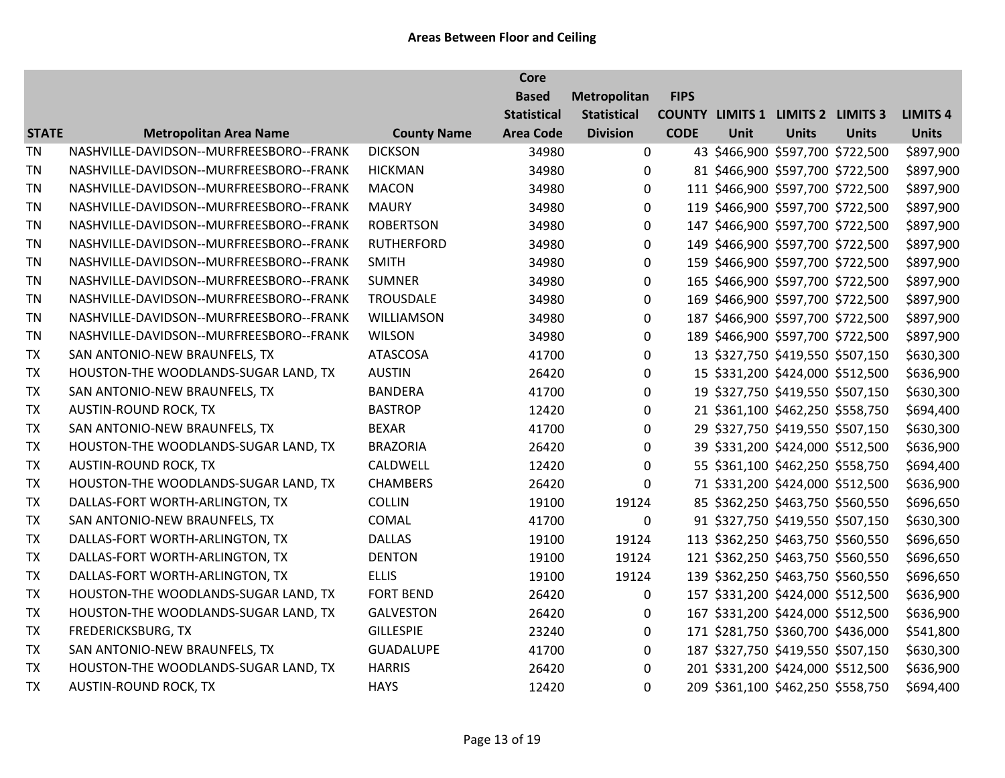|              |                                         |                    | <b>Core</b>        |                    |             |      |                                          |              |                 |
|--------------|-----------------------------------------|--------------------|--------------------|--------------------|-------------|------|------------------------------------------|--------------|-----------------|
|              |                                         |                    | <b>Based</b>       | Metropolitan       | <b>FIPS</b> |      |                                          |              |                 |
|              |                                         |                    | <b>Statistical</b> | <b>Statistical</b> |             |      | <b>COUNTY LIMITS 1 LIMITS 2 LIMITS 3</b> |              | <b>LIMITS 4</b> |
| <b>STATE</b> | <b>Metropolitan Area Name</b>           | <b>County Name</b> | <b>Area Code</b>   | <b>Division</b>    | <b>CODE</b> | Unit | <b>Units</b>                             | <b>Units</b> | <b>Units</b>    |
| <b>TN</b>    | NASHVILLE-DAVIDSON--MURFREESBORO--FRANK | <b>DICKSON</b>     | 34980              | 0                  |             |      | 43 \$466,900 \$597,700 \$722,500         |              | \$897,900       |
| <b>TN</b>    | NASHVILLE-DAVIDSON--MURFREESBORO--FRANK | <b>HICKMAN</b>     | 34980              | $\Omega$           |             |      | 81 \$466,900 \$597,700 \$722,500         |              | \$897,900       |
| <b>TN</b>    | NASHVILLE-DAVIDSON--MURFREESBORO--FRANK | <b>MACON</b>       | 34980              | $\mathbf 0$        |             |      | 111 \$466,900 \$597,700 \$722,500        |              | \$897,900       |
| <b>TN</b>    | NASHVILLE-DAVIDSON--MURFREESBORO--FRANK | <b>MAURY</b>       | 34980              | 0                  |             |      | 119 \$466,900 \$597,700 \$722,500        |              | \$897,900       |
| <b>TN</b>    | NASHVILLE-DAVIDSON--MURFREESBORO--FRANK | <b>ROBERTSON</b>   | 34980              | 0                  |             |      | 147 \$466,900 \$597,700 \$722,500        |              | \$897,900       |
| <b>TN</b>    | NASHVILLE-DAVIDSON--MURFREESBORO--FRANK | RUTHERFORD         | 34980              | $\pmb{0}$          |             |      | 149 \$466,900 \$597,700 \$722,500        |              | \$897,900       |
| <b>TN</b>    | NASHVILLE-DAVIDSON--MURFREESBORO--FRANK | <b>SMITH</b>       | 34980              | 0                  |             |      | 159 \$466,900 \$597,700 \$722,500        |              | \$897,900       |
| <b>TN</b>    | NASHVILLE-DAVIDSON--MURFREESBORO--FRANK | <b>SUMNER</b>      | 34980              | $\mathbf 0$        |             |      | 165 \$466,900 \$597,700 \$722,500        |              | \$897,900       |
| <b>TN</b>    | NASHVILLE-DAVIDSON--MURFREESBORO--FRANK | <b>TROUSDALE</b>   | 34980              | 0                  |             |      | 169 \$466,900 \$597,700 \$722,500        |              | \$897,900       |
| <b>TN</b>    | NASHVILLE-DAVIDSON--MURFREESBORO--FRANK | WILLIAMSON         | 34980              | 0                  |             |      | 187 \$466,900 \$597,700 \$722,500        |              | \$897,900       |
| <b>TN</b>    | NASHVILLE-DAVIDSON--MURFREESBORO--FRANK | <b>WILSON</b>      | 34980              | 0                  |             |      | 189 \$466,900 \$597,700 \$722,500        |              | \$897,900       |
| TX           | SAN ANTONIO-NEW BRAUNFELS, TX           | ATASCOSA           | 41700              | 0                  |             |      | 13 \$327,750 \$419,550 \$507,150         |              | \$630,300       |
| TX           | HOUSTON-THE WOODLANDS-SUGAR LAND, TX    | <b>AUSTIN</b>      | 26420              | 0                  |             |      | 15 \$331,200 \$424,000 \$512,500         |              | \$636,900       |
| TX           | SAN ANTONIO-NEW BRAUNFELS, TX           | <b>BANDERA</b>     | 41700              | 0                  |             |      | 19 \$327,750 \$419,550 \$507,150         |              | \$630,300       |
| TX           | <b>AUSTIN-ROUND ROCK, TX</b>            | <b>BASTROP</b>     | 12420              | 0                  |             |      | 21 \$361,100 \$462,250 \$558,750         |              | \$694,400       |
| <b>TX</b>    | SAN ANTONIO-NEW BRAUNFELS, TX           | <b>BEXAR</b>       | 41700              | 0                  |             |      | 29 \$327,750 \$419,550 \$507,150         |              | \$630,300       |
| TX           | HOUSTON-THE WOODLANDS-SUGAR LAND, TX    | <b>BRAZORIA</b>    | 26420              | 0                  |             |      | 39 \$331,200 \$424,000 \$512,500         |              | \$636,900       |
| <b>TX</b>    | <b>AUSTIN-ROUND ROCK, TX</b>            | CALDWELL           | 12420              | $\Omega$           |             |      | 55 \$361,100 \$462,250 \$558,750         |              | \$694,400       |
| <b>TX</b>    | HOUSTON-THE WOODLANDS-SUGAR LAND, TX    | <b>CHAMBERS</b>    | 26420              | $\mathbf 0$        |             |      | 71 \$331,200 \$424,000 \$512,500         |              | \$636,900       |
| <b>TX</b>    | DALLAS-FORT WORTH-ARLINGTON, TX         | <b>COLLIN</b>      | 19100              | 19124              |             |      | 85 \$362,250 \$463,750 \$560,550         |              | \$696,650       |
| TX           | SAN ANTONIO-NEW BRAUNFELS, TX           | COMAL              | 41700              | $\pmb{0}$          |             |      | 91 \$327,750 \$419,550 \$507,150         |              | \$630,300       |
| <b>TX</b>    | DALLAS-FORT WORTH-ARLINGTON, TX         | <b>DALLAS</b>      | 19100              | 19124              |             |      | 113 \$362,250 \$463,750 \$560,550        |              | \$696,650       |
| TX           | DALLAS-FORT WORTH-ARLINGTON, TX         | <b>DENTON</b>      | 19100              | 19124              |             |      | 121 \$362,250 \$463,750 \$560,550        |              | \$696,650       |
| <b>TX</b>    | DALLAS-FORT WORTH-ARLINGTON, TX         | <b>ELLIS</b>       | 19100              | 19124              |             |      | 139 \$362,250 \$463,750 \$560,550        |              | \$696,650       |
| TX           | HOUSTON-THE WOODLANDS-SUGAR LAND, TX    | <b>FORT BEND</b>   | 26420              | $\mathbf 0$        |             |      | 157 \$331,200 \$424,000 \$512,500        |              | \$636,900       |
| <b>TX</b>    | HOUSTON-THE WOODLANDS-SUGAR LAND, TX    | <b>GALVESTON</b>   | 26420              | $\mathbf 0$        |             |      | 167 \$331,200 \$424,000 \$512,500        |              | \$636,900       |
| TX           | <b>FREDERICKSBURG, TX</b>               | <b>GILLESPIE</b>   | 23240              | $\mathbf 0$        |             |      | 171 \$281,750 \$360,700 \$436,000        |              | \$541,800       |
| <b>TX</b>    | SAN ANTONIO-NEW BRAUNFELS, TX           | <b>GUADALUPE</b>   | 41700              | $\mathbf 0$        |             |      | 187 \$327,750 \$419,550 \$507,150        |              | \$630,300       |
| <b>TX</b>    | HOUSTON-THE WOODLANDS-SUGAR LAND, TX    | <b>HARRIS</b>      | 26420              | $\mathbf 0$        |             |      | 201 \$331,200 \$424,000 \$512,500        |              | \$636,900       |
| <b>TX</b>    | <b>AUSTIN-ROUND ROCK, TX</b>            | <b>HAYS</b>        | 12420              | 0                  |             |      | 209 \$361,100 \$462,250 \$558,750        |              | \$694,400       |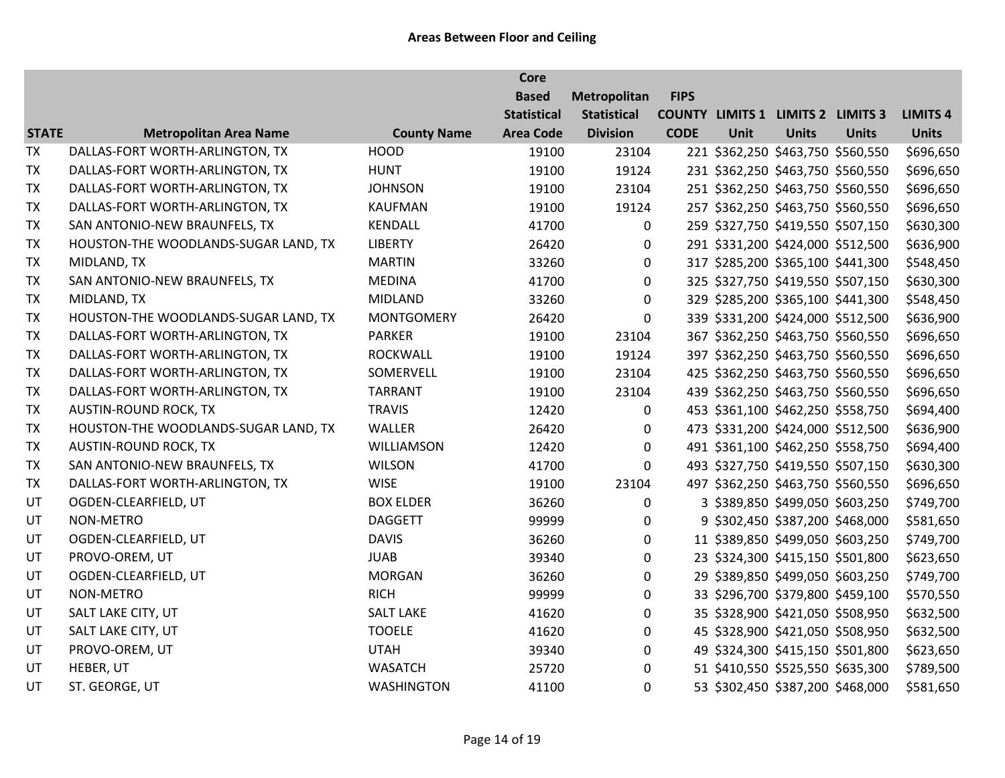|              |                                      |                    | <b>Core</b>        |                    |             |      |                                          |              |                 |
|--------------|--------------------------------------|--------------------|--------------------|--------------------|-------------|------|------------------------------------------|--------------|-----------------|
|              |                                      |                    | <b>Based</b>       | Metropolitan       | <b>FIPS</b> |      |                                          |              |                 |
|              |                                      |                    | <b>Statistical</b> | <b>Statistical</b> |             |      | <b>COUNTY LIMITS 1 LIMITS 2 LIMITS 3</b> |              | <b>LIMITS 4</b> |
| <b>STATE</b> | <b>Metropolitan Area Name</b>        | <b>County Name</b> | <b>Area Code</b>   | <b>Division</b>    | <b>CODE</b> | Unit | <b>Units</b>                             | <b>Units</b> | <b>Units</b>    |
| <b>TX</b>    | DALLAS-FORT WORTH-ARLINGTON, TX      | <b>HOOD</b>        | 19100              | 23104              |             |      | 221 \$362,250 \$463,750 \$560,550        |              | \$696,650       |
| <b>TX</b>    | DALLAS-FORT WORTH-ARLINGTON, TX      | <b>HUNT</b>        | 19100              | 19124              |             |      | 231 \$362,250 \$463,750 \$560,550        |              | \$696,650       |
| TX           | DALLAS-FORT WORTH-ARLINGTON, TX      | <b>JOHNSON</b>     | 19100              | 23104              |             |      | 251 \$362,250 \$463,750 \$560,550        |              | \$696,650       |
| <b>TX</b>    | DALLAS-FORT WORTH-ARLINGTON, TX      | KAUFMAN            | 19100              | 19124              |             |      | 257 \$362,250 \$463,750 \$560,550        |              | \$696,650       |
| TX           | SAN ANTONIO-NEW BRAUNFELS, TX        | KENDALL            | 41700              | $\mathbf 0$        |             |      | 259 \$327,750 \$419,550 \$507,150        |              | \$630,300       |
| <b>TX</b>    | HOUSTON-THE WOODLANDS-SUGAR LAND, TX | <b>LIBERTY</b>     | 26420              | 0                  |             |      | 291 \$331,200 \$424,000 \$512,500        |              | \$636,900       |
| TX           | MIDLAND, TX                          | <b>MARTIN</b>      | 33260              | $\mathbf 0$        |             |      | 317 \$285,200 \$365,100 \$441,300        |              | \$548,450       |
| TX           | SAN ANTONIO-NEW BRAUNFELS, TX        | <b>MEDINA</b>      | 41700              | $\mathbf 0$        |             |      | 325 \$327,750 \$419,550 \$507,150        |              | \$630,300       |
| <b>TX</b>    | MIDLAND, TX                          | <b>MIDLAND</b>     | 33260              | $\mathbf 0$        |             |      | 329 \$285,200 \$365,100 \$441,300        |              | \$548,450       |
| <b>TX</b>    | HOUSTON-THE WOODLANDS-SUGAR LAND, TX | <b>MONTGOMERY</b>  | 26420              | $\mathbf 0$        |             |      | 339 \$331,200 \$424,000 \$512,500        |              | \$636,900       |
| <b>TX</b>    | DALLAS-FORT WORTH-ARLINGTON, TX      | <b>PARKER</b>      | 19100              | 23104              |             |      | 367 \$362,250 \$463,750 \$560,550        |              | \$696,650       |
| <b>TX</b>    | DALLAS-FORT WORTH-ARLINGTON, TX      | <b>ROCKWALL</b>    | 19100              | 19124              |             |      | 397 \$362,250 \$463,750 \$560,550        |              | \$696,650       |
| <b>TX</b>    | DALLAS-FORT WORTH-ARLINGTON, TX      | SOMERVELL          | 19100              | 23104              |             |      | 425 \$362,250 \$463,750 \$560,550        |              | \$696,650       |
| <b>TX</b>    | DALLAS-FORT WORTH-ARLINGTON, TX      | <b>TARRANT</b>     | 19100              | 23104              |             |      | 439 \$362,250 \$463,750 \$560,550        |              | \$696,650       |
| <b>TX</b>    | <b>AUSTIN-ROUND ROCK, TX</b>         | <b>TRAVIS</b>      | 12420              | 0                  |             |      | 453 \$361,100 \$462,250 \$558,750        |              | \$694,400       |
| <b>TX</b>    | HOUSTON-THE WOODLANDS-SUGAR LAND, TX | WALLER             | 26420              | $\mathbf 0$        |             |      | 473 \$331,200 \$424,000 \$512,500        |              | \$636,900       |
| TX           | <b>AUSTIN-ROUND ROCK, TX</b>         | <b>WILLIAMSON</b>  | 12420              | 0                  |             |      | 491 \$361,100 \$462,250 \$558,750        |              | \$694,400       |
| TX           | SAN ANTONIO-NEW BRAUNFELS, TX        | <b>WILSON</b>      | 41700              | $\mathbf 0$        |             |      | 493 \$327,750 \$419,550 \$507,150        |              | \$630,300       |
| <b>TX</b>    | DALLAS-FORT WORTH-ARLINGTON, TX      | <b>WISE</b>        | 19100              | 23104              |             |      | 497 \$362,250 \$463,750 \$560,550        |              | \$696,650       |
| UT           | OGDEN-CLEARFIELD, UT                 | <b>BOX ELDER</b>   | 36260              | $\mathbf 0$        |             |      | 3 \$389,850 \$499,050 \$603,250          |              | \$749,700       |
| UT           | NON-METRO                            | <b>DAGGETT</b>     | 99999              | 0                  |             |      | 9 \$302,450 \$387,200 \$468,000          |              | \$581,650       |
| UT           | OGDEN-CLEARFIELD, UT                 | <b>DAVIS</b>       | 36260              | $\mathbf 0$        |             |      | 11 \$389,850 \$499,050 \$603,250         |              | \$749,700       |
| UT           | PROVO-OREM, UT                       | <b>JUAB</b>        | 39340              | $\mathbf 0$        |             |      | 23 \$324,300 \$415,150 \$501,800         |              | \$623,650       |
| UT           | OGDEN-CLEARFIELD, UT                 | <b>MORGAN</b>      | 36260              | 0                  |             |      | 29 \$389,850 \$499,050 \$603,250         |              | \$749,700       |
| UT           | NON-METRO                            | <b>RICH</b>        | 99999              | $\mathbf 0$        |             |      | 33 \$296,700 \$379,800 \$459,100         |              | \$570,550       |
| UT           | SALT LAKE CITY, UT                   | <b>SALT LAKE</b>   | 41620              | 0                  |             |      | 35 \$328,900 \$421,050 \$508,950         |              | \$632,500       |
| UT           | SALT LAKE CITY, UT                   | <b>TOOELE</b>      | 41620              | 0                  |             |      | 45 \$328,900 \$421,050 \$508,950         |              | \$632,500       |
| UT           | PROVO-OREM, UT                       | <b>UTAH</b>        | 39340              | 0                  |             |      | 49 \$324,300 \$415,150 \$501,800         |              | \$623,650       |
| UT           | HEBER, UT                            | <b>WASATCH</b>     | 25720              | $\mathbf 0$        |             |      | 51 \$410,550 \$525,550 \$635,300         |              | \$789,500       |
| UT           | ST. GEORGE, UT                       | <b>WASHINGTON</b>  | 41100              | 0                  |             |      | 53 \$302,450 \$387,200 \$468,000         |              | \$581,650       |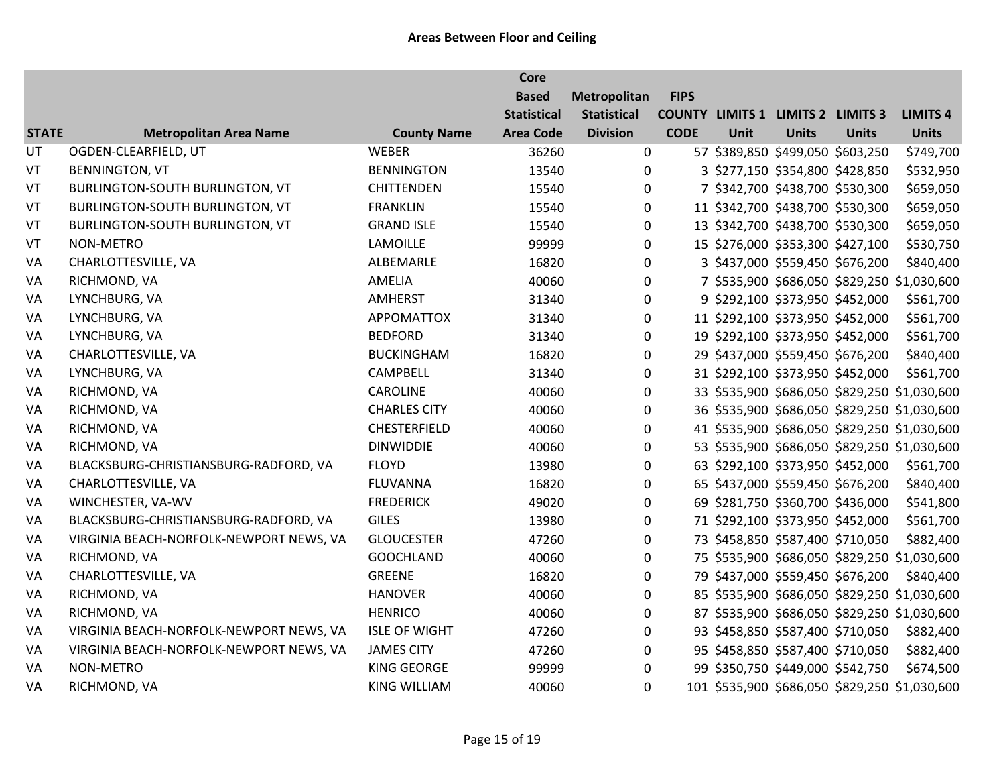|              |                                         |                      | <b>Core</b>        |                    |             |      |                                          |              |                                               |
|--------------|-----------------------------------------|----------------------|--------------------|--------------------|-------------|------|------------------------------------------|--------------|-----------------------------------------------|
|              |                                         |                      | <b>Based</b>       | Metropolitan       | <b>FIPS</b> |      |                                          |              |                                               |
|              |                                         |                      | <b>Statistical</b> | <b>Statistical</b> |             |      | <b>COUNTY LIMITS 1 LIMITS 2 LIMITS 3</b> |              | <b>LIMITS 4</b>                               |
| <b>STATE</b> | <b>Metropolitan Area Name</b>           | <b>County Name</b>   | <b>Area Code</b>   | <b>Division</b>    | <b>CODE</b> | Unit | <b>Units</b>                             | <b>Units</b> | <b>Units</b>                                  |
| UT           | OGDEN-CLEARFIELD, UT                    | WEBER                | 36260              | 0                  |             |      | 57 \$389,850 \$499,050 \$603,250         |              | \$749,700                                     |
| VT           | <b>BENNINGTON, VT</b>                   | <b>BENNINGTON</b>    | 13540              | $\mathbf{0}$       |             |      | 3 \$277,150 \$354,800 \$428,850          |              | \$532,950                                     |
| VT           | BURLINGTON-SOUTH BURLINGTON, VT         | <b>CHITTENDEN</b>    | 15540              | 0                  |             |      | 7 \$342,700 \$438,700 \$530,300          |              | \$659,050                                     |
| VT           | BURLINGTON-SOUTH BURLINGTON, VT         | <b>FRANKLIN</b>      | 15540              | 0                  |             |      | 11 \$342,700 \$438,700 \$530,300         |              | \$659,050                                     |
| VT           | BURLINGTON-SOUTH BURLINGTON, VT         | <b>GRAND ISLE</b>    | 15540              | 0                  |             |      | 13 \$342,700 \$438,700 \$530,300         |              | \$659,050                                     |
| VT           | NON-METRO                               | <b>LAMOILLE</b>      | 99999              | 0                  |             |      | 15 \$276,000 \$353,300 \$427,100         |              | \$530,750                                     |
| VA           | CHARLOTTESVILLE, VA                     | ALBEMARLE            | 16820              | 0                  |             |      | 3 \$437,000 \$559,450 \$676,200          |              | \$840,400                                     |
| VA           | RICHMOND, VA                            | AMELIA               | 40060              | $\mathbf 0$        |             |      |                                          |              | 7 \$535,900 \$686,050 \$829,250 \$1,030,600   |
| VA           | LYNCHBURG, VA                           | <b>AMHERST</b>       | 31340              | 0                  |             |      | 9 \$292,100 \$373,950 \$452,000          |              | \$561,700                                     |
| VA           | LYNCHBURG, VA                           | <b>APPOMATTOX</b>    | 31340              | 0                  |             |      | 11 \$292,100 \$373,950 \$452,000         |              | \$561,700                                     |
| VA           | LYNCHBURG, VA                           | <b>BEDFORD</b>       | 31340              | 0                  |             |      | 19 \$292,100 \$373,950 \$452,000         |              | \$561,700                                     |
| VA           | CHARLOTTESVILLE, VA                     | <b>BUCKINGHAM</b>    | 16820              | 0                  |             |      | 29 \$437,000 \$559,450 \$676,200         |              | \$840,400                                     |
| VA           | LYNCHBURG, VA                           | <b>CAMPBELL</b>      | 31340              | $\boldsymbol{0}$   |             |      | 31 \$292,100 \$373,950 \$452,000         |              | \$561,700                                     |
| VA           | RICHMOND, VA                            | <b>CAROLINE</b>      | 40060              | 0                  |             |      |                                          |              | 33 \$535,900 \$686,050 \$829,250 \$1,030,600  |
| VA           | RICHMOND, VA                            | <b>CHARLES CITY</b>  | 40060              | 0                  |             |      |                                          |              | 36 \$535,900 \$686,050 \$829,250 \$1,030,600  |
| VA           | RICHMOND, VA                            | <b>CHESTERFIELD</b>  | 40060              | 0                  |             |      |                                          |              | 41 \$535,900 \$686,050 \$829,250 \$1,030,600  |
| VA           | RICHMOND, VA                            | <b>DINWIDDIE</b>     | 40060              | 0                  |             |      |                                          |              | 53 \$535,900 \$686,050 \$829,250 \$1,030,600  |
| VA           | BLACKSBURG-CHRISTIANSBURG-RADFORD, VA   | <b>FLOYD</b>         | 13980              | $\mathbf 0$        |             |      | 63 \$292,100 \$373,950 \$452,000         |              | \$561,700                                     |
| VA           | CHARLOTTESVILLE, VA                     | <b>FLUVANNA</b>      | 16820              | 0                  |             |      | 65 \$437,000 \$559,450 \$676,200         |              | \$840,400                                     |
| VA           | WINCHESTER, VA-WV                       | <b>FREDERICK</b>     | 49020              | 0                  |             |      | 69 \$281,750 \$360,700 \$436,000         |              | \$541,800                                     |
| VA           | BLACKSBURG-CHRISTIANSBURG-RADFORD, VA   | <b>GILES</b>         | 13980              | 0                  |             |      | 71 \$292,100 \$373,950 \$452,000         |              | \$561,700                                     |
| VA           | VIRGINIA BEACH-NORFOLK-NEWPORT NEWS, VA | <b>GLOUCESTER</b>    | 47260              | $\boldsymbol{0}$   |             |      | 73 \$458,850 \$587,400 \$710,050         |              | \$882,400                                     |
| VA           | RICHMOND, VA                            | <b>GOOCHLAND</b>     | 40060              | $\boldsymbol{0}$   |             |      |                                          |              | 75 \$535,900 \$686,050 \$829,250 \$1,030,600  |
| VA           | CHARLOTTESVILLE, VA                     | <b>GREENE</b>        | 16820              | $\boldsymbol{0}$   |             |      | 79 \$437,000 \$559,450 \$676,200         |              | \$840,400                                     |
| VA           | RICHMOND, VA                            | <b>HANOVER</b>       | 40060              | 0                  |             |      |                                          |              | 85 \$535,900 \$686,050 \$829,250 \$1,030,600  |
| VA           | RICHMOND, VA                            | <b>HENRICO</b>       | 40060              | 0                  |             |      |                                          |              | 87 \$535,900 \$686,050 \$829,250 \$1,030,600  |
| VA           | VIRGINIA BEACH-NORFOLK-NEWPORT NEWS, VA | <b>ISLE OF WIGHT</b> | 47260              | $\mathbf 0$        |             |      | 93 \$458,850 \$587,400 \$710,050         |              | \$882,400                                     |
| VA           | VIRGINIA BEACH-NORFOLK-NEWPORT NEWS, VA | <b>JAMES CITY</b>    | 47260              | 0                  |             |      | 95 \$458,850 \$587,400 \$710,050         |              | \$882,400                                     |
| VA           | NON-METRO                               | <b>KING GEORGE</b>   | 99999              | 0                  |             |      | 99 \$350,750 \$449,000 \$542,750         |              | \$674,500                                     |
| VA           | RICHMOND, VA                            | <b>KING WILLIAM</b>  | 40060              | 0                  |             |      |                                          |              | 101 \$535,900 \$686,050 \$829,250 \$1,030,600 |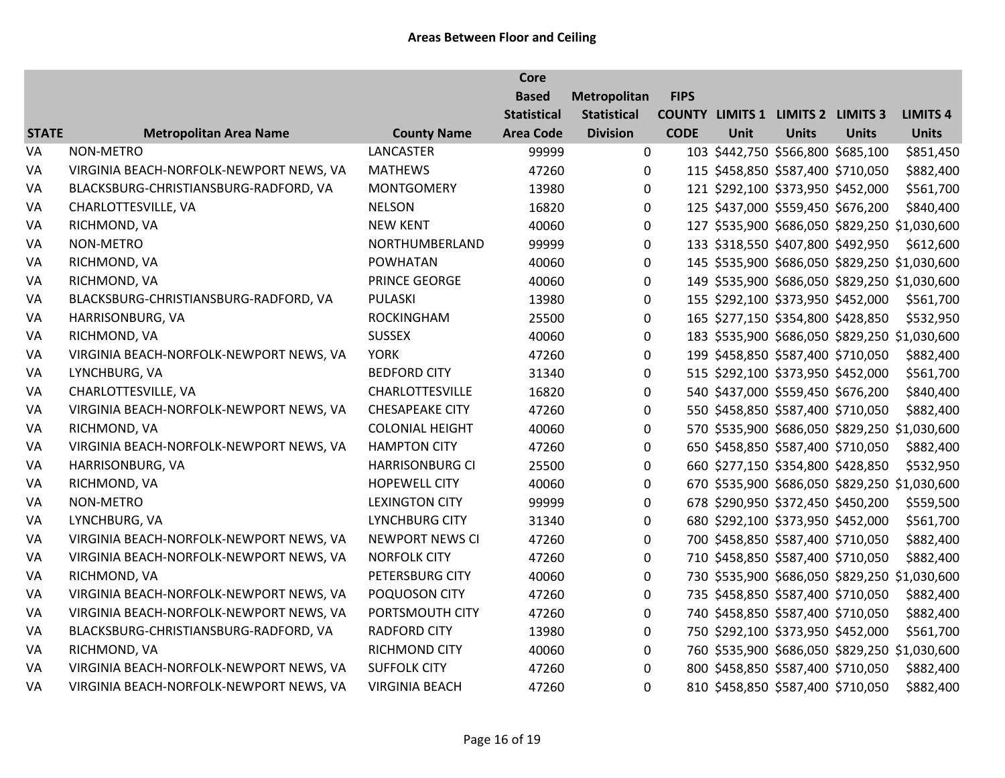|              |                                         |                        | Core               |                    |             |      |                                          |                                   |                                               |
|--------------|-----------------------------------------|------------------------|--------------------|--------------------|-------------|------|------------------------------------------|-----------------------------------|-----------------------------------------------|
|              |                                         |                        | <b>Based</b>       | Metropolitan       | <b>FIPS</b> |      |                                          |                                   |                                               |
|              |                                         |                        | <b>Statistical</b> | <b>Statistical</b> |             |      | <b>COUNTY LIMITS 1 LIMITS 2 LIMITS 3</b> |                                   | <b>LIMITS 4</b>                               |
| <b>STATE</b> | <b>Metropolitan Area Name</b>           | <b>County Name</b>     | <b>Area Code</b>   | <b>Division</b>    | <b>CODE</b> | Unit | <b>Units</b>                             | <b>Units</b>                      | <b>Units</b>                                  |
| VA           | <b>NON-METRO</b>                        | LANCASTER              | 99999              | 0                  |             |      | 103 \$442,750 \$566,800 \$685,100        |                                   | \$851,450                                     |
| VA           | VIRGINIA BEACH-NORFOLK-NEWPORT NEWS, VA | <b>MATHEWS</b>         | 47260              | 0                  |             |      | 115 \$458,850 \$587,400 \$710,050        |                                   | \$882,400                                     |
| VA           | BLACKSBURG-CHRISTIANSBURG-RADFORD, VA   | <b>MONTGOMERY</b>      | 13980              | $\mathbf 0$        |             |      | 121 \$292,100 \$373,950 \$452,000        |                                   | \$561,700                                     |
| VA           | CHARLOTTESVILLE, VA                     | <b>NELSON</b>          | 16820              | $\mathbf 0$        |             |      | 125 \$437,000 \$559,450 \$676,200        |                                   | \$840,400                                     |
| VA           | RICHMOND, VA                            | <b>NEW KENT</b>        | 40060              | $\pmb{0}$          |             |      |                                          |                                   | 127 \$535,900 \$686,050 \$829,250 \$1,030,600 |
| VA           | NON-METRO                               | NORTHUMBERLAND         | 99999              | $\mathbf 0$        |             |      |                                          | 133 \$318,550 \$407,800 \$492,950 | \$612,600                                     |
| VA           | RICHMOND, VA                            | <b>POWHATAN</b>        | 40060              | $\mathbf 0$        |             |      |                                          |                                   | 145 \$535,900 \$686,050 \$829,250 \$1,030,600 |
| VA           | RICHMOND, VA                            | PRINCE GEORGE          | 40060              | $\mathbf 0$        |             |      |                                          |                                   | 149 \$535,900 \$686,050 \$829,250 \$1,030,600 |
| VA           | BLACKSBURG-CHRISTIANSBURG-RADFORD, VA   | PULASKI                | 13980              | $\mathbf 0$        |             |      |                                          | 155 \$292,100 \$373,950 \$452,000 | \$561,700                                     |
| VA           | HARRISONBURG, VA                        | <b>ROCKINGHAM</b>      | 25500              | $\pmb{0}$          |             |      | 165 \$277,150 \$354,800 \$428,850        |                                   | \$532,950                                     |
| VA           | RICHMOND, VA                            | <b>SUSSEX</b>          | 40060              | $\mathbf 0$        |             |      |                                          |                                   | 183 \$535,900 \$686,050 \$829,250 \$1,030,600 |
| VA           | VIRGINIA BEACH-NORFOLK-NEWPORT NEWS, VA | <b>YORK</b>            | 47260              | 0                  |             |      | 199 \$458,850 \$587,400 \$710,050        |                                   | \$882,400                                     |
| VA           | LYNCHBURG, VA                           | <b>BEDFORD CITY</b>    | 31340              | $\mathbf 0$        |             |      | 515 \$292,100 \$373,950 \$452,000        |                                   | \$561,700                                     |
| VA           | CHARLOTTESVILLE, VA                     | <b>CHARLOTTESVILLE</b> | 16820              | $\mathbf 0$        |             |      | 540 \$437,000 \$559,450 \$676,200        |                                   | \$840,400                                     |
| VA           | VIRGINIA BEACH-NORFOLK-NEWPORT NEWS, VA | <b>CHESAPEAKE CITY</b> | 47260              | $\mathbf 0$        |             |      | 550 \$458,850 \$587,400 \$710,050        |                                   | \$882,400                                     |
| VA           | RICHMOND, VA                            | <b>COLONIAL HEIGHT</b> | 40060              | 0                  |             |      |                                          |                                   | 570 \$535,900 \$686,050 \$829,250 \$1,030,600 |
| VA           | VIRGINIA BEACH-NORFOLK-NEWPORT NEWS, VA | <b>HAMPTON CITY</b>    | 47260              | $\mathbf 0$        |             |      | 650 \$458,850 \$587,400 \$710,050        |                                   | \$882,400                                     |
| VA           | HARRISONBURG, VA                        | <b>HARRISONBURG CI</b> | 25500              | $\mathbf 0$        |             |      | 660 \$277,150 \$354,800 \$428,850        |                                   | \$532,950                                     |
| VA           | RICHMOND, VA                            | <b>HOPEWELL CITY</b>   | 40060              | $\mathbf 0$        |             |      |                                          |                                   | 670 \$535,900 \$686,050 \$829,250 \$1,030,600 |
| VA           | NON-METRO                               | <b>LEXINGTON CITY</b>  | 99999              | $\pmb{0}$          |             |      |                                          | 678 \$290,950 \$372,450 \$450,200 | \$559,500                                     |
| VA           | LYNCHBURG, VA                           | LYNCHBURG CITY         | 31340              | $\mathbf 0$        |             |      | 680 \$292,100 \$373,950 \$452,000        |                                   | \$561,700                                     |
| VA           | VIRGINIA BEACH-NORFOLK-NEWPORT NEWS, VA | <b>NEWPORT NEWS CI</b> | 47260              | $\mathbf 0$        |             |      | 700 \$458,850 \$587,400 \$710,050        |                                   | \$882,400                                     |
| VA           | VIRGINIA BEACH-NORFOLK-NEWPORT NEWS, VA | <b>NORFOLK CITY</b>    | 47260              | $\mathbf 0$        |             |      | 710 \$458,850 \$587,400 \$710,050        |                                   | \$882,400                                     |
| VA           | RICHMOND, VA                            | PETERSBURG CITY        | 40060              | $\mathbf 0$        |             |      |                                          |                                   | 730 \$535,900 \$686,050 \$829,250 \$1,030,600 |
| VA           | VIRGINIA BEACH-NORFOLK-NEWPORT NEWS, VA | POQUOSON CITY          | 47260              | $\pmb{0}$          |             |      | 735 \$458,850 \$587,400 \$710,050        |                                   | \$882,400                                     |
| VA           | VIRGINIA BEACH-NORFOLK-NEWPORT NEWS, VA | PORTSMOUTH CITY        | 47260              | $\mathbf 0$        |             |      | 740 \$458,850 \$587,400 \$710,050        |                                   | \$882,400                                     |
| VA           | BLACKSBURG-CHRISTIANSBURG-RADFORD, VA   | <b>RADFORD CITY</b>    | 13980              | 0                  |             |      | 750 \$292,100 \$373,950 \$452,000        |                                   | \$561,700                                     |
| VA           | RICHMOND, VA                            | <b>RICHMOND CITY</b>   | 40060              | $\mathbf 0$        |             |      |                                          |                                   | 760 \$535,900 \$686,050 \$829,250 \$1,030,600 |
| VA           | VIRGINIA BEACH-NORFOLK-NEWPORT NEWS, VA | <b>SUFFOLK CITY</b>    | 47260              | $\mathbf 0$        |             |      |                                          | 800 \$458,850 \$587,400 \$710,050 | \$882,400                                     |
| VA           | VIRGINIA BEACH-NORFOLK-NEWPORT NEWS, VA | <b>VIRGINIA BEACH</b>  | 47260              | $\overline{0}$     |             |      | 810 \$458,850 \$587,400 \$710,050        |                                   | \$882,400                                     |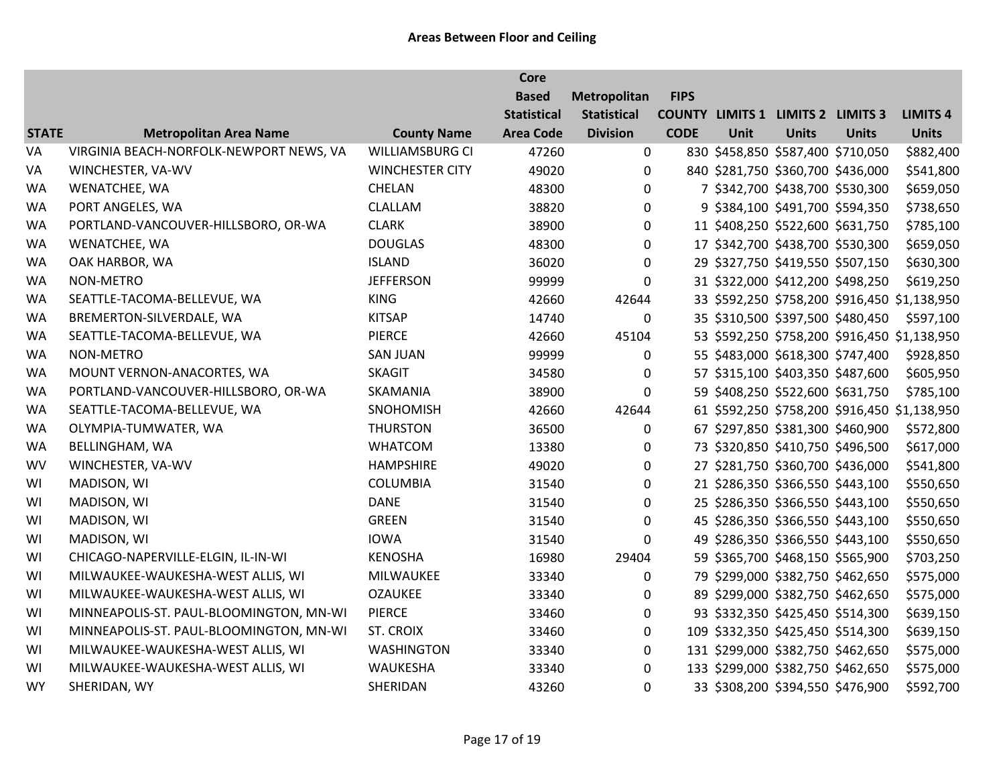|              |                                         |                        | <b>Core</b>        |                    |             |             |                                          |              |                                              |
|--------------|-----------------------------------------|------------------------|--------------------|--------------------|-------------|-------------|------------------------------------------|--------------|----------------------------------------------|
|              |                                         |                        | <b>Based</b>       | Metropolitan       | <b>FIPS</b> |             |                                          |              |                                              |
|              |                                         |                        | <b>Statistical</b> | <b>Statistical</b> |             |             | <b>COUNTY LIMITS 1 LIMITS 2 LIMITS 3</b> |              | <b>LIMITS 4</b>                              |
| <b>STATE</b> | <b>Metropolitan Area Name</b>           | <b>County Name</b>     | <b>Area Code</b>   | <b>Division</b>    | <b>CODE</b> | <b>Unit</b> | <b>Units</b>                             | <b>Units</b> | <b>Units</b>                                 |
| VA           | VIRGINIA BEACH-NORFOLK-NEWPORT NEWS, VA | <b>WILLIAMSBURG CI</b> | 47260              | $\mathbf 0$        |             |             | 830 \$458,850 \$587,400 \$710,050        |              | \$882,400                                    |
| VA           | WINCHESTER, VA-WV                       | <b>WINCHESTER CITY</b> | 49020              | $\mathbf 0$        |             |             | 840 \$281,750 \$360,700 \$436,000        |              | \$541,800                                    |
| <b>WA</b>    | WENATCHEE, WA                           | CHELAN                 | 48300              | 0                  |             |             | 7 \$342,700 \$438,700 \$530,300          |              | \$659,050                                    |
| <b>WA</b>    | PORT ANGELES, WA                        | CLALLAM                | 38820              | 0                  |             |             | 9 \$384,100 \$491,700 \$594,350          |              | \$738,650                                    |
| <b>WA</b>    | PORTLAND-VANCOUVER-HILLSBORO, OR-WA     | <b>CLARK</b>           | 38900              | 0                  |             |             | 11 \$408,250 \$522,600 \$631,750         |              | \$785,100                                    |
| <b>WA</b>    | WENATCHEE, WA                           | <b>DOUGLAS</b>         | 48300              | 0                  |             |             | 17 \$342,700 \$438,700 \$530,300         |              | \$659,050                                    |
| <b>WA</b>    | OAK HARBOR, WA                          | <b>ISLAND</b>          | 36020              | 0                  |             |             | 29 \$327,750 \$419,550 \$507,150         |              | \$630,300                                    |
| <b>WA</b>    | <b>NON-METRO</b>                        | <b>JEFFERSON</b>       | 99999              | $\Omega$           |             |             | 31 \$322,000 \$412,200 \$498,250         |              | \$619,250                                    |
| <b>WA</b>    | SEATTLE-TACOMA-BELLEVUE, WA             | <b>KING</b>            | 42660              | 42644              |             |             |                                          |              | 33 \$592,250 \$758,200 \$916,450 \$1,138,950 |
| <b>WA</b>    | BREMERTON-SILVERDALE, WA                | <b>KITSAP</b>          | 14740              | 0                  |             |             | 35 \$310,500 \$397,500 \$480,450         |              | \$597,100                                    |
| <b>WA</b>    | SEATTLE-TACOMA-BELLEVUE, WA             | PIERCE                 | 42660              | 45104              |             |             |                                          |              | 53 \$592,250 \$758,200 \$916,450 \$1,138,950 |
| WA           | <b>NON-METRO</b>                        | <b>SAN JUAN</b>        | 99999              | $\Omega$           |             |             | 55 \$483,000 \$618,300 \$747,400         |              | \$928,850                                    |
| <b>WA</b>    | MOUNT VERNON-ANACORTES, WA              | <b>SKAGIT</b>          | 34580              | 0                  |             |             | 57 \$315,100 \$403,350 \$487,600         |              | \$605,950                                    |
| <b>WA</b>    | PORTLAND-VANCOUVER-HILLSBORO, OR-WA     | SKAMANIA               | 38900              | $\Omega$           |             |             | 59 \$408,250 \$522,600 \$631,750         |              | \$785,100                                    |
| <b>WA</b>    | SEATTLE-TACOMA-BELLEVUE, WA             | SNOHOMISH              | 42660              | 42644              |             |             |                                          |              | 61 \$592,250 \$758,200 \$916,450 \$1,138,950 |
| <b>WA</b>    | OLYMPIA-TUMWATER, WA                    | <b>THURSTON</b>        | 36500              | 0                  |             |             | 67 \$297,850 \$381,300 \$460,900         |              | \$572,800                                    |
| <b>WA</b>    | BELLINGHAM, WA                          | <b>WHATCOM</b>         | 13380              | 0                  |             |             | 73 \$320,850 \$410,750 \$496,500         |              | \$617,000                                    |
| WV           | WINCHESTER, VA-WV                       | <b>HAMPSHIRE</b>       | 49020              | $\mathbf 0$        |             |             | 27 \$281,750 \$360,700 \$436,000         |              | \$541,800                                    |
| WI           | MADISON, WI                             | <b>COLUMBIA</b>        | 31540              | 0                  |             |             | 21 \$286,350 \$366,550 \$443,100         |              | \$550,650                                    |
| WI           | MADISON, WI                             | <b>DANE</b>            | 31540              | 0                  |             |             | 25 \$286,350 \$366,550 \$443,100         |              | \$550,650                                    |
| WI           | MADISON, WI                             | <b>GREEN</b>           | 31540              | 0                  |             |             | 45 \$286,350 \$366,550 \$443,100         |              | \$550,650                                    |
| WI           | MADISON, WI                             | <b>IOWA</b>            | 31540              | 0                  |             |             | 49 \$286,350 \$366,550 \$443,100         |              | \$550,650                                    |
| WI           | CHICAGO-NAPERVILLE-ELGIN, IL-IN-WI      | <b>KENOSHA</b>         | 16980              | 29404              |             |             | 59 \$365,700 \$468,150 \$565,900         |              | \$703,250                                    |
| WI           | MILWAUKEE-WAUKESHA-WEST ALLIS, WI       | <b>MILWAUKEE</b>       | 33340              | 0                  |             |             | 79 \$299,000 \$382,750 \$462,650         |              | \$575,000                                    |
| WI           | MILWAUKEE-WAUKESHA-WEST ALLIS, WI       | <b>OZAUKEE</b>         | 33340              | 0                  |             |             | 89 \$299,000 \$382,750 \$462,650         |              | \$575,000                                    |
| WI           | MINNEAPOLIS-ST. PAUL-BLOOMINGTON, MN-WI | PIERCE                 | 33460              | 0                  |             |             | 93 \$332,350 \$425,450 \$514,300         |              | \$639,150                                    |
| WI           | MINNEAPOLIS-ST. PAUL-BLOOMINGTON, MN-WI | ST. CROIX              | 33460              | $\mathbf 0$        |             |             | 109 \$332,350 \$425,450 \$514,300        |              | \$639,150                                    |
| WI           | MILWAUKEE-WAUKESHA-WEST ALLIS, WI       | <b>WASHINGTON</b>      | 33340              | $\mathbf 0$        |             |             | 131 \$299,000 \$382,750 \$462,650        |              | \$575,000                                    |
| WI           | MILWAUKEE-WAUKESHA-WEST ALLIS, WI       | WAUKESHA               | 33340              | $\mathbf{0}$       |             |             | 133 \$299,000 \$382,750 \$462,650        |              | \$575,000                                    |
| <b>WY</b>    | SHERIDAN, WY                            | SHERIDAN               | 43260              | $\mathbf 0$        |             |             | 33 \$308,200 \$394,550 \$476,900         |              | \$592,700                                    |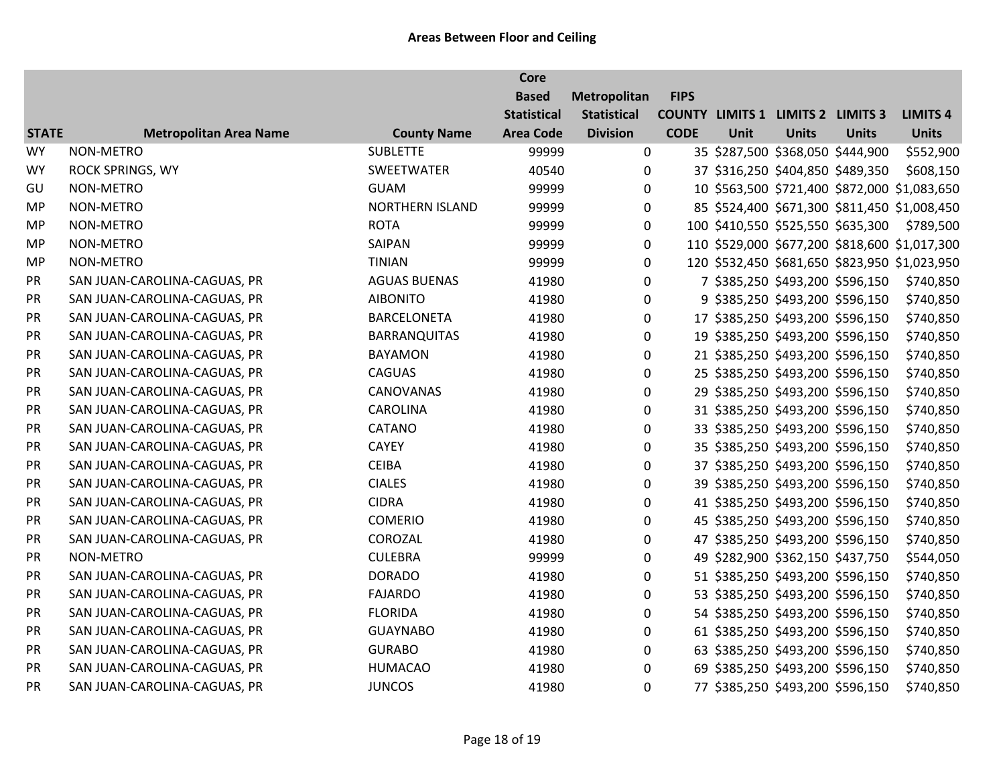|              |                               |                        | <b>Core</b>        |                    |             |             |                                          |                                   |                                               |
|--------------|-------------------------------|------------------------|--------------------|--------------------|-------------|-------------|------------------------------------------|-----------------------------------|-----------------------------------------------|
|              |                               |                        | <b>Based</b>       | Metropolitan       | <b>FIPS</b> |             |                                          |                                   |                                               |
|              |                               |                        | <b>Statistical</b> | <b>Statistical</b> |             |             | <b>COUNTY LIMITS 1 LIMITS 2 LIMITS 3</b> |                                   | <b>LIMITS 4</b>                               |
| <b>STATE</b> | <b>Metropolitan Area Name</b> | <b>County Name</b>     | <b>Area Code</b>   | <b>Division</b>    | <b>CODE</b> | <b>Unit</b> | <b>Units</b>                             | <b>Units</b>                      | <b>Units</b>                                  |
| <b>WY</b>    | NON-METRO                     | <b>SUBLETTE</b>        | 99999              | 0                  |             |             | 35 \$287,500 \$368,050 \$444,900         |                                   | \$552,900                                     |
| <b>WY</b>    | <b>ROCK SPRINGS, WY</b>       | SWEETWATER             | 40540              | 0                  |             |             | 37 \$316,250 \$404,850 \$489,350         |                                   | \$608,150                                     |
| GU           | NON-METRO                     | <b>GUAM</b>            | 99999              | 0                  |             |             |                                          |                                   | 10 \$563,500 \$721,400 \$872,000 \$1,083,650  |
| <b>MP</b>    | NON-METRO                     | <b>NORTHERN ISLAND</b> | 99999              | 0                  |             |             |                                          |                                   | 85 \$524,400 \$671,300 \$811,450 \$1,008,450  |
| <b>MP</b>    | NON-METRO                     | <b>ROTA</b>            | 99999              | 0                  |             |             |                                          | 100 \$410,550 \$525,550 \$635,300 | \$789,500                                     |
| <b>MP</b>    | NON-METRO                     | SAIPAN                 | 99999              | $\pmb{0}$          |             |             |                                          |                                   | 110 \$529,000 \$677,200 \$818,600 \$1,017,300 |
| <b>MP</b>    | NON-METRO                     | <b>TINIAN</b>          | 99999              | 0                  |             |             |                                          |                                   | 120 \$532,450 \$681,650 \$823,950 \$1,023,950 |
| PR           | SAN JUAN-CAROLINA-CAGUAS, PR  | <b>AGUAS BUENAS</b>    | 41980              | $\mathbf 0$        |             |             | 7 \$385,250 \$493,200 \$596,150          |                                   | \$740,850                                     |
| PR           | SAN JUAN-CAROLINA-CAGUAS, PR  | <b>AIBONITO</b>        | 41980              | 0                  |             |             | 9 \$385,250 \$493,200 \$596,150          |                                   | \$740,850                                     |
| PR           | SAN JUAN-CAROLINA-CAGUAS, PR  | <b>BARCELONETA</b>     | 41980              | 0                  |             |             | 17 \$385,250 \$493,200 \$596,150         |                                   | \$740,850                                     |
| PR           | SAN JUAN-CAROLINA-CAGUAS, PR  | <b>BARRANQUITAS</b>    | 41980              | 0                  |             |             | 19 \$385,250 \$493,200 \$596,150         |                                   | \$740,850                                     |
| PR           | SAN JUAN-CAROLINA-CAGUAS, PR  | <b>BAYAMON</b>         | 41980              | 0                  |             |             | 21 \$385,250 \$493,200 \$596,150         |                                   | \$740,850                                     |
| PR           | SAN JUAN-CAROLINA-CAGUAS, PR  | <b>CAGUAS</b>          | 41980              | 0                  |             |             | 25 \$385,250 \$493,200 \$596,150         |                                   | \$740,850                                     |
| PR           | SAN JUAN-CAROLINA-CAGUAS, PR  | <b>CANOVANAS</b>       | 41980              | 0                  |             |             | 29 \$385,250 \$493,200 \$596,150         |                                   | \$740,850                                     |
| PR           | SAN JUAN-CAROLINA-CAGUAS, PR  | <b>CAROLINA</b>        | 41980              | 0                  |             |             | 31 \$385,250 \$493,200 \$596,150         |                                   | \$740,850                                     |
| PR           | SAN JUAN-CAROLINA-CAGUAS, PR  | CATANO                 | 41980              | 0                  |             |             | 33 \$385,250 \$493,200 \$596,150         |                                   | \$740,850                                     |
| PR           | SAN JUAN-CAROLINA-CAGUAS, PR  | <b>CAYEY</b>           | 41980              | 0                  |             |             | 35 \$385,250 \$493,200 \$596,150         |                                   | \$740,850                                     |
| PR           | SAN JUAN-CAROLINA-CAGUAS, PR  | <b>CEIBA</b>           | 41980              | 0                  |             |             | 37 \$385,250 \$493,200 \$596,150         |                                   | \$740,850                                     |
| PR           | SAN JUAN-CAROLINA-CAGUAS, PR  | <b>CIALES</b>          | 41980              | 0                  |             |             | 39 \$385,250 \$493,200 \$596,150         |                                   | \$740,850                                     |
| PR           | SAN JUAN-CAROLINA-CAGUAS, PR  | <b>CIDRA</b>           | 41980              | 0                  |             |             | 41 \$385,250 \$493,200 \$596,150         |                                   | \$740,850                                     |
| PR           | SAN JUAN-CAROLINA-CAGUAS, PR  | <b>COMERIO</b>         | 41980              | 0                  |             |             | 45 \$385,250 \$493,200 \$596,150         |                                   | \$740,850                                     |
| PR           | SAN JUAN-CAROLINA-CAGUAS, PR  | COROZAL                | 41980              | 0                  |             |             | 47 \$385,250 \$493,200 \$596,150         |                                   | \$740,850                                     |
| PR           | <b>NON-METRO</b>              | <b>CULEBRA</b>         | 99999              | 0                  |             |             | 49 \$282,900 \$362,150 \$437,750         |                                   | \$544,050                                     |
| PR           | SAN JUAN-CAROLINA-CAGUAS, PR  | <b>DORADO</b>          | 41980              | 0                  |             |             | 51 \$385,250 \$493,200 \$596,150         |                                   | \$740,850                                     |
| PR           | SAN JUAN-CAROLINA-CAGUAS, PR  | <b>FAJARDO</b>         | 41980              | 0                  |             |             | 53 \$385,250 \$493,200 \$596,150         |                                   | \$740,850                                     |
| PR           | SAN JUAN-CAROLINA-CAGUAS, PR  | <b>FLORIDA</b>         | 41980              | 0                  |             |             | 54 \$385,250 \$493,200 \$596,150         |                                   | \$740,850                                     |
| PR           | SAN JUAN-CAROLINA-CAGUAS, PR  | <b>GUAYNABO</b>        | 41980              | 0                  |             |             | 61 \$385,250 \$493,200 \$596,150         |                                   | \$740,850                                     |
| PR           | SAN JUAN-CAROLINA-CAGUAS, PR  | <b>GURABO</b>          | 41980              | 0                  |             |             | 63 \$385,250 \$493,200 \$596,150         |                                   | \$740,850                                     |
| PR           | SAN JUAN-CAROLINA-CAGUAS, PR  | <b>HUMACAO</b>         | 41980              | 0                  |             |             | 69 \$385,250 \$493,200 \$596,150         |                                   | \$740,850                                     |
| PR           | SAN JUAN-CAROLINA-CAGUAS, PR  | <b>JUNCOS</b>          | 41980              | 0                  |             |             | 77 \$385,250 \$493,200 \$596,150         |                                   | \$740,850                                     |